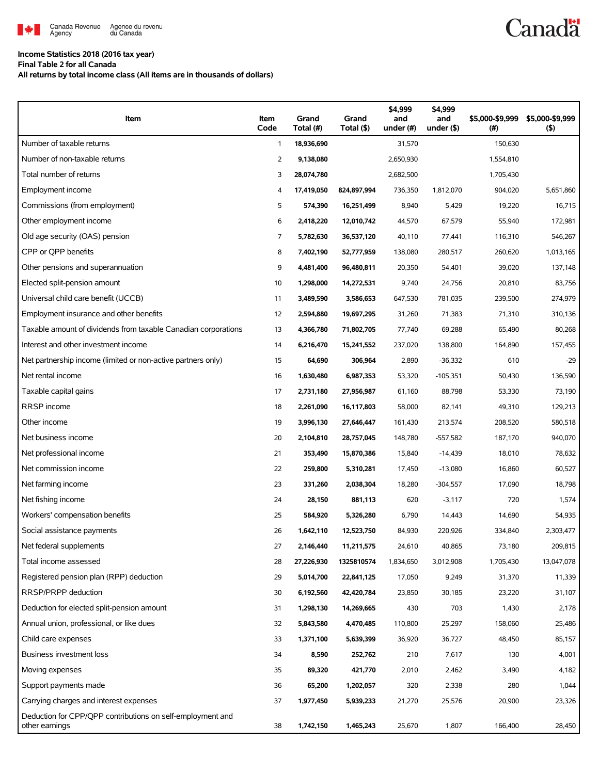

#### **Income Statistics 2018 (2016 tax year)**

**Final Table 2 for all Canada**

**All returns by total income class (All items are in thousands of dollars)**

| Item                                                                         | Item<br>Code | Grand<br>Total (#) | Grand<br>Total (\$) | \$4,999<br>and<br>under $#)$ | \$4,999<br>and<br>under $($ \$) | \$5,000-\$9,999<br>(# ) | \$5,000-\$9,999<br>(5) |
|------------------------------------------------------------------------------|--------------|--------------------|---------------------|------------------------------|---------------------------------|-------------------------|------------------------|
| Number of taxable returns                                                    | $\mathbf{1}$ | 18,936,690         |                     | 31,570                       |                                 | 150,630                 |                        |
| Number of non-taxable returns                                                | 2            | 9,138,080          |                     | 2,650,930                    |                                 | 1,554,810               |                        |
| Total number of returns                                                      | 3            | 28,074,780         |                     | 2,682,500                    |                                 | 1,705,430               |                        |
| Employment income                                                            | 4            | 17,419,050         | 824,897,994         | 736,350                      | 1,812,070                       | 904,020                 | 5,651,860              |
| Commissions (from employment)                                                | 5            | 574,390            | 16,251,499          | 8,940                        | 5,429                           | 19,220                  | 16,715                 |
| Other employment income                                                      | 6            | 2,418,220          | 12,010,742          | 44,570                       | 67,579                          | 55,940                  | 172,981                |
| Old age security (OAS) pension                                               | 7            | 5,782,630          | 36,537,120          | 40,110                       | 77,441                          | 116,310                 | 546,267                |
| CPP or QPP benefits                                                          | 8            | 7,402,190          | 52,777,959          | 138,080                      | 280,517                         | 260,620                 | 1,013,165              |
| Other pensions and superannuation                                            | 9            | 4,481,400          | 96,480,811          | 20,350                       | 54,401                          | 39,020                  | 137,148                |
| Elected split-pension amount                                                 | 10           | 1,298,000          | 14,272,531          | 9,740                        | 24,756                          | 20,810                  | 83,756                 |
| Universal child care benefit (UCCB)                                          | 11           | 3,489,590          | 3,586,653           | 647,530                      | 781,035                         | 239,500                 | 274,979                |
| Employment insurance and other benefits                                      | 12           | 2,594,880          | 19,697,295          | 31,260                       | 71,383                          | 71,310                  | 310,136                |
| Taxable amount of dividends from taxable Canadian corporations               | 13           | 4,366,780          | 71,802,705          | 77,740                       | 69,288                          | 65,490                  | 80,268                 |
| Interest and other investment income                                         | 14           | 6,216,470          | 15,241,552          | 237,020                      | 138,800                         | 164,890                 | 157,455                |
| Net partnership income (limited or non-active partners only)                 | 15           | 64,690             | 306,964             | 2,890                        | $-36,332$                       | 610                     | $-29$                  |
| Net rental income                                                            | 16           | 1,630,480          | 6,987,353           | 53,320                       | $-105,351$                      | 50,430                  | 136,590                |
| Taxable capital gains                                                        | 17           | 2,731,180          | 27,956,987          | 61,160                       | 88,798                          | 53,330                  | 73,190                 |
| RRSP income                                                                  | 18           | 2,261,090          | 16,117,803          | 58,000                       | 82,141                          | 49,310                  | 129,213                |
| Other income                                                                 | 19           | 3,996,130          | 27,646,447          | 161,430                      | 213,574                         | 208,520                 | 580,518                |
| Net business income                                                          | 20           | 2,104,810          | 28,757,045          | 148,780                      | $-557,582$                      | 187,170                 | 940,070                |
| Net professional income                                                      | 21           | 353,490            | 15,870,386          | 15,840                       | $-14,439$                       | 18,010                  | 78,632                 |
| Net commission income                                                        | 22           | 259,800            | 5,310,281           | 17,450                       | $-13,080$                       | 16,860                  | 60,527                 |
| Net farming income                                                           | 23           | 331,260            | 2,038,304           | 18,280                       | $-304,557$                      | 17,090                  | 18,798                 |
| Net fishing income                                                           | 24           | 28,150             | 881,113             | 620                          | $-3,117$                        | 720                     | 1,574                  |
| Workers' compensation benefits                                               | 25           | 584,920            | 5,326,280           | 6,790                        | 14,443                          | 14,690                  | 54,935                 |
| Social assistance payments                                                   | 26           | 1,642,110          | 12,523,750          | 84,930                       | 220,926                         | 334,840                 | 2,303,477              |
| Net federal supplements                                                      | 27           | 2,146,440          | 11,211,575          | 24,610                       | 40,865                          | 73,180                  | 209,815                |
| Total income assessed                                                        | 28           | 27,226,930         | 1325810574          | 1,834,650                    | 3,012,908                       | 1,705,430               | 13,047,078             |
| Registered pension plan (RPP) deduction                                      | 29           | 5,014,700          | 22,841,125          | 17,050                       | 9,249                           | 31,370                  | 11,339                 |
| RRSP/PRPP deduction                                                          | 30           | 6,192,560          | 42,420,784          | 23,850                       | 30,185                          | 23,220                  | 31,107                 |
| Deduction for elected split-pension amount                                   | 31           | 1,298,130          | 14,269,665          | 430                          | 703                             | 1,430                   | 2,178                  |
| Annual union, professional, or like dues                                     | 32           | 5,843,580          | 4,470,485           | 110,800                      | 25,297                          | 158,060                 | 25,486                 |
| Child care expenses                                                          | 33           | 1,371,100          | 5,639,399           | 36,920                       | 36,727                          | 48,450                  | 85,157                 |
| Business investment loss                                                     | 34           | 8,590              | 252,762             | 210                          | 7,617                           | 130                     | 4,001                  |
| Moving expenses                                                              | 35           | 89,320             | 421,770             | 2,010                        | 2,462                           | 3,490                   | 4,182                  |
| Support payments made                                                        | 36           | 65,200             | 1,202,057           | 320                          | 2,338                           | 280                     | 1,044                  |
| Carrying charges and interest expenses                                       | 37           | 1,977,450          | 5,939,233           | 21,270                       | 25,576                          | 20,900                  | 23,326                 |
| Deduction for CPP/QPP contributions on self-employment and<br>other earnings | 38           | 1,742,150          | 1,465,243           | 25,670                       | 1,807                           | 166,400                 | 28,450                 |

**Canadä**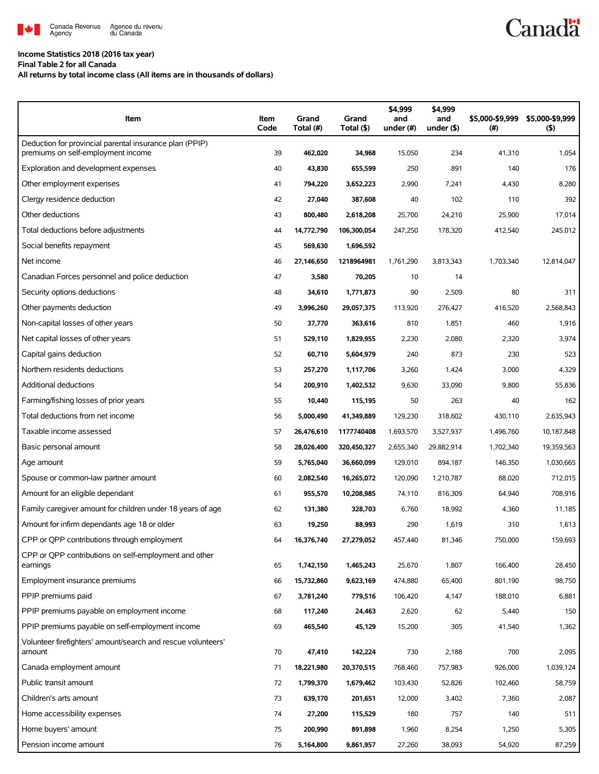

#### **Income Statistics 2018 (2016 tax year)**

**Final Table 2 for all Canada**

**All returns by total income class (All items are in thousands of dollars)**

| Item                                                                                          | Item<br>Code | Grand<br>Total (#) | Grand<br>Total (\$) | \$4,999<br>and<br>under (#) | \$4,999<br>and<br>under $($ \$) | \$5,000-\$9,999<br>(#) | \$5,000-\$9,999<br>(5) |
|-----------------------------------------------------------------------------------------------|--------------|--------------------|---------------------|-----------------------------|---------------------------------|------------------------|------------------------|
| Deduction for provincial parental insurance plan (PPIP)<br>premiums on self-employment income | 39           | 462,020            | 34,968              | 15,050                      | 234                             | 41,310                 | 1,054                  |
| Exploration and development expenses                                                          | 40           | 43,830             | 655,599             | 250                         | 891                             | 140                    | 176                    |
| Other employment expenses                                                                     | 41           | 794,220            | 3,652,223           | 2,990                       | 7,241                           | 4,430                  | 8,280                  |
| Clergy residence deduction                                                                    | 42           | 27,040             | 387,608             | 40                          | 102                             | 110                    | 392                    |
| Other deductions                                                                              | 43           | 800,480            | 2,618,208           | 25,700                      | 24,210                          | 25,900                 | 17,014                 |
| Total deductions before adjustments                                                           | 44           | 14,772,790         | 106,300,054         | 247,250                     | 178,320                         | 412,540                | 245,012                |
| Social benefits repayment                                                                     | 45           | 569,630            | 1,696,592           |                             |                                 |                        |                        |
| Net income                                                                                    | 46           | 27,146,650         | 1218964981          | 1,761,290                   | 3,813,343                       | 1,703,340              | 12,814,047             |
| Canadian Forces personnel and police deduction                                                | 47           | 3,580              | 70,205              | 10                          | 14                              |                        |                        |
| Security options deductions                                                                   | 48           | 34,610             | 1,771,873           | 90                          | 2,509                           | 80                     | 311                    |
| Other payments deduction                                                                      | 49           | 3,996,260          | 29,057,375          | 113,920                     | 276,427                         | 416,520                | 2,568,843              |
| Non-capital losses of other years                                                             | 50           | 37,770             | 363,616             | 810                         | 1,851                           | 460                    | 1,916                  |
| Net capital losses of other years                                                             | 51           | 529,110            | 1,829,955           | 2,230                       | 2,080                           | 2,320                  | 3,974                  |
| Capital gains deduction                                                                       | 52           | 60,710             | 5,604,979           | 240                         | 873                             | 230                    | 523                    |
| Northern residents deductions                                                                 | 53           | 257,270            | 1,117,706           | 3,260                       | 1,424                           | 3,000                  | 4,329                  |
| Additional deductions                                                                         | 54           | 200,910            | 1,402,532           | 9,630                       | 33,090                          | 9,800                  | 55,836                 |
| Farming/fishing losses of prior years                                                         | 55           | 10,440             | 115,195             | 50                          | 263                             | 40                     | 162                    |
| Total deductions from net income                                                              | 56           | 5,000,490          | 41,349,889          | 129,230                     | 318,602                         | 430,110                | 2,635,943              |
| Taxable income assessed                                                                       | 57           | 26,476,610         | 1177740408          | 1,693,570                   | 3,527,937                       | 1,496,760              | 10,187,848             |
| Basic personal amount                                                                         | 58           | 28,026,400         | 320,450,327         | 2,655,340                   | 29,882,914                      | 1,702,340              | 19,359,563             |
| Age amount                                                                                    | 59           | 5,765,040          | 36,660,099          | 129,010                     | 894,187                         | 146,350                | 1,030,665              |
| Spouse or common-law partner amount                                                           | 60           | 2,082,540          | 16,265,072          | 120,090                     | 1,210,787                       | 88,020                 | 712,015                |
| Amount for an eligible dependant                                                              | 61           | 955,570            | 10,208,985          | 74,110                      | 816,309                         | 64,940                 | 708,916                |
| Family caregiver amount for children under 18 years of age                                    | 62           | 131,380            | 328,703             | 6,760                       | 18,992                          | 4,360                  | 11,185                 |
| Amount for infirm dependants age 18 or older                                                  | 63           | 19,250             | 88,993              | 290                         | 1,619                           | 310                    | 1,613                  |
| CPP or QPP contributions through employment                                                   |              | 16,376,740         | 27,279,052          | 457,440                     | 81,346                          | 750,000                | 159,693                |
| CPP or OPP contributions on self-employment and other<br>earnings                             | 65           | 1,742,150          | 1,465,243           | 25,670                      | 1,807                           | 166,400                | 28,450                 |
| Employment insurance premiums                                                                 | 66           | 15,732,860         | 9,623,169           | 474,880                     | 65,400                          | 801,190                | 98,750                 |
| PPIP premiums paid                                                                            | 67           | 3,781,240          | 779,516             | 106,420                     | 4,147                           | 188,010                | 6,881                  |
| PPIP premiums payable on employment income                                                    | 68           | 117,240            | 24,463              | 2,620                       | 62                              | 5,440                  | 150                    |
| PPIP premiums payable on self-employment income                                               | 69           | 465,540            | 45,129              | 15,200                      | 305                             | 41,540                 | 1,362                  |
| Volunteer firefighters' amount/search and rescue volunteers'<br>amount                        | 70           | 47,410             | 142,224             | 730                         | 2,188                           | 700                    | 2,095                  |
| Canada employment amount                                                                      | 71           | 18,221,980         | 20,370,515          | 768,460                     | 757,983                         | 926,000                | 1,039,124              |
| Public transit amount                                                                         | 72           | 1,799,370          | 1,679,462           | 103,430                     | 52,826                          | 102,460                | 58,759                 |
| Children's arts amount                                                                        | 73           | 639,170            | 201,651             | 12,000                      | 3,402                           | 7,360                  | 2,087                  |
| Home accessibility expenses                                                                   | 74           | 27,200             | 115,529             | 180                         | 757                             | 140                    | 511                    |
| Home buyers' amount                                                                           | 75           | 200,990            | 891,898             | 1,960                       | 8,254                           | 1,250                  | 5,305                  |
| Pension income amount                                                                         | 76           | 5,164,800          | 9,861,957           | 27,260                      | 38,093                          | 54,920                 | 87,259                 |

## **Canadä**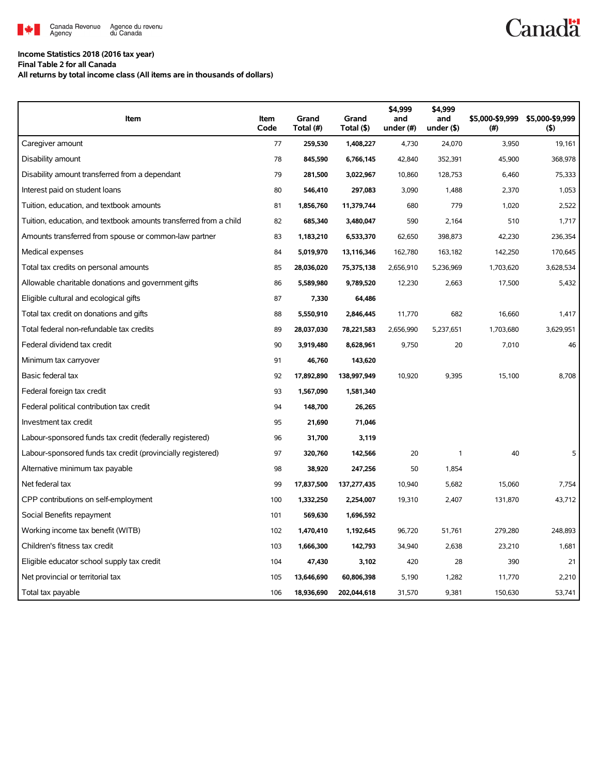

### **Income Statistics 2018 (2016 tax year)**

**Final Table 2 for all Canada**

**All returns by total income class (All items are in thousands of dollars)**

| Item                                                              | Item<br>Code | Grand<br>Total (#) | Grand<br>Total (\$) | \$4,999<br>and<br>under (#) | \$4.999<br>and<br>under $($ \$) | \$5,000-\$9,999<br>(#) | \$5,000-\$9,999<br>(5) |
|-------------------------------------------------------------------|--------------|--------------------|---------------------|-----------------------------|---------------------------------|------------------------|------------------------|
| Caregiver amount                                                  | 77           | 259,530            | 1,408,227           | 4,730                       | 24,070                          | 3,950                  | 19,161                 |
| Disability amount                                                 | 78           | 845,590            | 6,766,145           | 42,840                      | 352,391                         | 45,900                 | 368.978                |
| Disability amount transferred from a dependant                    | 79           | 281,500            | 3,022,967           | 10,860                      | 128,753                         | 6,460                  | 75,333                 |
| Interest paid on student loans                                    | 80           | 546,410            | 297,083             | 3,090                       | 1,488                           | 2,370                  | 1,053                  |
| Tuition, education, and textbook amounts                          | 81           | 1,856,760          | 11,379,744          | 680                         | 779                             | 1,020                  | 2,522                  |
| Tuition, education, and textbook amounts transferred from a child | 82           | 685,340            | 3,480,047           | 590                         | 2,164                           | 510                    | 1,717                  |
| Amounts transferred from spouse or common-law partner             | 83           | 1,183,210          | 6,533,370           | 62,650                      | 398,873                         | 42,230                 | 236,354                |
| Medical expenses                                                  | 84           | 5,019,970          | 13,116,346          | 162,780                     | 163,182                         | 142,250                | 170.645                |
| Total tax credits on personal amounts                             | 85           | 28,036,020         | 75,375,138          | 2,656,910                   | 5,236,969                       | 1,703,620              | 3,628,534              |
| Allowable charitable donations and government gifts               | 86           | 5,589,980          | 9,789,520           | 12,230                      | 2,663                           | 17,500                 | 5,432                  |
| Eligible cultural and ecological gifts                            | 87           | 7,330              | 64,486              |                             |                                 |                        |                        |
| Total tax credit on donations and gifts                           | 88           | 5,550,910          | 2,846,445           | 11,770                      | 682                             | 16,660                 | 1,417                  |
| Total federal non-refundable tax credits                          | 89           | 28,037,030         | 78,221,583          | 2,656,990                   | 5,237,651                       | 1,703,680              | 3,629,951              |
| Federal dividend tax credit                                       | 90           | 3,919,480          | 8,628,961           | 9,750                       | 20                              | 7,010                  | 46                     |
| Minimum tax carryover                                             | 91           | 46,760             | 143,620             |                             |                                 |                        |                        |
| Basic federal tax                                                 | 92           | 17,892,890         | 138,997,949         | 10,920                      | 9,395                           | 15,100                 | 8,708                  |
| Federal foreign tax credit                                        | 93           | 1,567,090          | 1,581,340           |                             |                                 |                        |                        |
| Federal political contribution tax credit                         | 94           | 148,700            | 26,265              |                             |                                 |                        |                        |
| Investment tax credit                                             | 95           | 21.690             | 71.046              |                             |                                 |                        |                        |
| Labour-sponsored funds tax credit (federally registered)          | 96           | 31,700             | 3,119               |                             |                                 |                        |                        |
| Labour-sponsored funds tax credit (provincially registered)       | 97           | 320,760            | 142,566             | 20                          | $\mathbf{1}$                    | 40                     | 5                      |
| Alternative minimum tax payable                                   | 98           | 38,920             | 247,256             | 50                          | 1,854                           |                        |                        |
| Net federal tax                                                   | 99           | 17,837,500         | 137,277,435         | 10,940                      | 5,682                           | 15,060                 | 7,754                  |
| CPP contributions on self-employment                              | 100          | 1,332,250          | 2,254,007           | 19,310                      | 2,407                           | 131,870                | 43,712                 |
| Social Benefits repayment                                         | 101          | 569,630            | 1,696,592           |                             |                                 |                        |                        |
| Working income tax benefit (WITB)                                 | 102          | 1,470,410          | 1,192,645           | 96,720                      | 51,761                          | 279,280                | 248,893                |
| Children's fitness tax credit                                     | 103          | 1,666,300          | 142,793             | 34,940                      | 2,638                           | 23,210                 | 1,681                  |
| Eligible educator school supply tax credit                        | 104          | 47,430             | 3,102               | 420                         | 28                              | 390                    | 21                     |
| Net provincial or territorial tax                                 | 105          | 13,646,690         | 60,806,398          | 5,190                       | 1,282                           | 11,770                 | 2,210                  |
| Total tax payable                                                 | 106          | 18,936,690         | 202,044,618         | 31,570                      | 9,381                           | 150,630                | 53,741                 |

# **Canadä**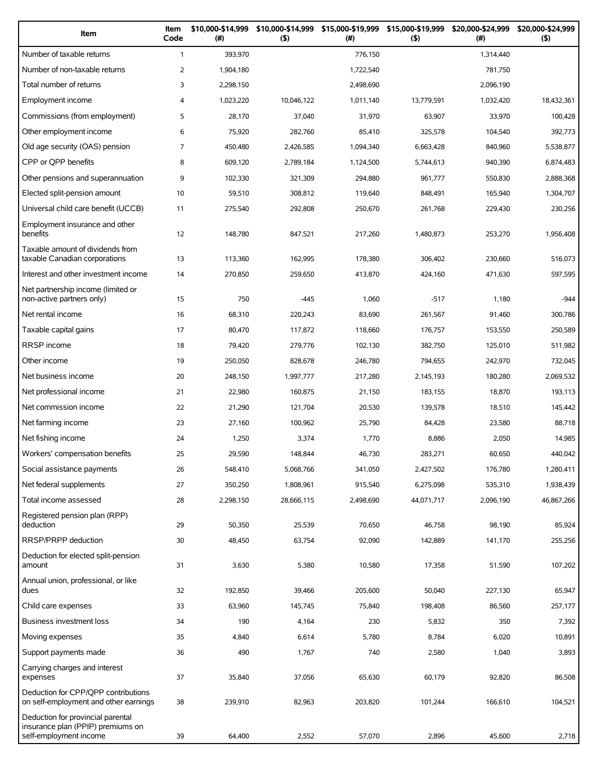| Item                                                                                             | Item<br>Code   | \$10,000-\$14,999<br>(#) | \$10,000-\$14,999<br>(5) | \$15,000-\$19,999<br>(# ) | \$15,000-\$19,999<br>(5) | \$20,000-\$24,999<br>(#) | \$20,000-\$24,999<br>$($ \$) |
|--------------------------------------------------------------------------------------------------|----------------|--------------------------|--------------------------|---------------------------|--------------------------|--------------------------|------------------------------|
| Number of taxable returns                                                                        | $\mathbf{1}$   | 393,970                  |                          | 776.150                   |                          | 1,314,440                |                              |
| Number of non-taxable returns                                                                    | $\overline{2}$ | 1,904,180                |                          | 1,722,540                 |                          | 781,750                  |                              |
| Total number of returns                                                                          | 3              | 2,298,150                |                          | 2,498,690                 |                          | 2.096.190                |                              |
| Employment income                                                                                | 4              | 1,023,220                | 10,046,122               | 1,011,140                 | 13,779,591               | 1,032,420                | 18,432,361                   |
| Commissions (from employment)                                                                    | 5              | 28,170                   | 37,040                   | 31,970                    | 63,907                   | 33,970                   | 100,428                      |
| Other employment income                                                                          | 6              | 75,920                   | 282,760                  | 85,410                    | 325,578                  | 104,540                  | 392,773                      |
| Old age security (OAS) pension                                                                   | 7              | 450,480                  | 2,426,585                | 1,094,340                 | 6,663,428                | 840,960                  | 5,538,877                    |
| CPP or QPP benefits                                                                              | 8              | 609,120                  | 2,789,184                | 1,124,500                 | 5,744,613                | 940,390                  | 6,874,483                    |
| Other pensions and superannuation                                                                | 9              | 102,330                  | 321,309                  | 294,880                   | 961,777                  | 550,830                  | 2,888,368                    |
| Elected split-pension amount                                                                     | 10             | 59,510                   | 308,812                  | 119,640                   | 848,491                  | 165,940                  | 1,304,707                    |
| Universal child care benefit (UCCB)                                                              | 11             | 275,540                  | 292,808                  | 250,670                   | 261,768                  | 229,430                  | 230,256                      |
| Employment insurance and other<br>benefits                                                       | 12             | 148,780                  | 847,521                  | 217,260                   | 1,480,873                | 253,270                  | 1,956,408                    |
| Taxable amount of dividends from<br>taxable Canadian corporations                                | 13             | 113,360                  | 162,995                  | 178,380                   | 306,402                  | 230,660                  | 516,073                      |
| Interest and other investment income                                                             | 14             | 270,850                  | 259,650                  | 413,870                   | 424,160                  | 471,630                  | 597,595                      |
| Net partnership income (limited or<br>non-active partners only)                                  | 15             | 750                      | $-445$                   | 1,060                     | $-517$                   | 1,180                    | $-944$                       |
| Net rental income                                                                                | 16             | 68,310                   | 220,243                  | 83,690                    | 261,567                  | 91,460                   | 300,786                      |
| Taxable capital gains                                                                            | 17             | 80,470                   | 117,872                  | 118,660                   | 176,757                  | 153,550                  | 250,589                      |
| RRSP income                                                                                      | 18             | 79,420                   | 279,776                  | 102,130                   | 382,750                  | 125,010                  | 511,982                      |
| Other income                                                                                     | 19             | 250,050                  | 828,678                  | 246,780                   | 794,655                  | 242,970                  | 732,045                      |
| Net business income                                                                              | 20             | 248,150                  | 1,997,777                | 217,280                   | 2,145,193                | 180,280                  | 2,069,532                    |
| Net professional income                                                                          | 21             | 22,980                   | 160,875                  | 21,150                    | 183,155                  | 18,870                   | 193,113                      |
| Net commission income                                                                            | 22             | 21,290                   | 121,704                  | 20,530                    | 139,578                  | 18,510                   | 145,442                      |
| Net farming income                                                                               | 23             | 27,160                   | 100,962                  | 25,790                    | 84,428                   | 23,580                   | 88,718                       |
| Net fishing income                                                                               | 24             | 1,250                    | 3,374                    | 1,770                     | 8,886                    | 2,050                    | 14,985                       |
| Workers' compensation benefits                                                                   | 25             | 29,590                   | 148,844                  | 46,730                    | 283,271                  | 60,650                   | 440,042                      |
| Social assistance payments                                                                       | 26             | 548,410                  | 5,068,766                | 341,050                   | 2,427,502                | 176,780                  | 1,280,411                    |
| Net federal supplements                                                                          | 27             | 350,250                  | 1,808,961                | 915,540                   | 6,275,098                | 535,310                  | 1,938,439                    |
| Total income assessed                                                                            | 28             | 2,298,150                | 28,666,115               | 2,498,690                 | 44,071,717               | 2,096,190                | 46,867,266                   |
| Registered pension plan (RPP)<br>deduction                                                       | 29             | 50,350                   | 25,539                   | 70,650                    | 46,758                   | 98,190                   | 85,924                       |
| RRSP/PRPP deduction                                                                              | 30             | 48,450                   | 63,754                   | 92,090                    | 142,889                  | 141,170                  | 255,256                      |
| Deduction for elected split-pension                                                              |                |                          |                          |                           |                          |                          |                              |
| amount<br>Annual union, professional, or like                                                    | 31             | 3,630                    | 5,380                    | 10,580                    | 17,358                   | 51,590                   | 107,202                      |
| dues                                                                                             | 32             | 192,850                  | 39,466                   | 205,600                   | 50,040                   | 227,130                  | 65,947                       |
| Child care expenses                                                                              | 33             | 63,960                   | 145,745                  | 75,840                    | 198,408                  | 86,560                   | 257,177                      |
| Business investment loss                                                                         | 34             | 190                      | 4,164                    | 230                       | 5,832                    | 350                      | 7,392                        |
| Moving expenses                                                                                  | 35             | 4,840                    | 6,614                    | 5,780                     | 8,784                    | 6,020                    | 10,891                       |
| Support payments made                                                                            | 36             | 490                      | 1,767                    | 740                       | 2,580                    | 1,040                    | 3,893                        |
| Carrying charges and interest<br>expenses                                                        | 37             | 35,840                   | 37,056                   | 65,630                    | 60,179                   | 92,820                   | 86,508                       |
| Deduction for CPP/QPP contributions<br>on self-employment and other earnings                     | 38             | 239,910                  | 82,963                   | 203,820                   | 101,244                  | 166,610                  | 104,521                      |
| Deduction for provincial parental<br>insurance plan (PPIP) premiums on<br>self-employment income | 39             | 64,400                   | 2,552                    | 57,070                    | 2,896                    | 45,600                   | 2,718                        |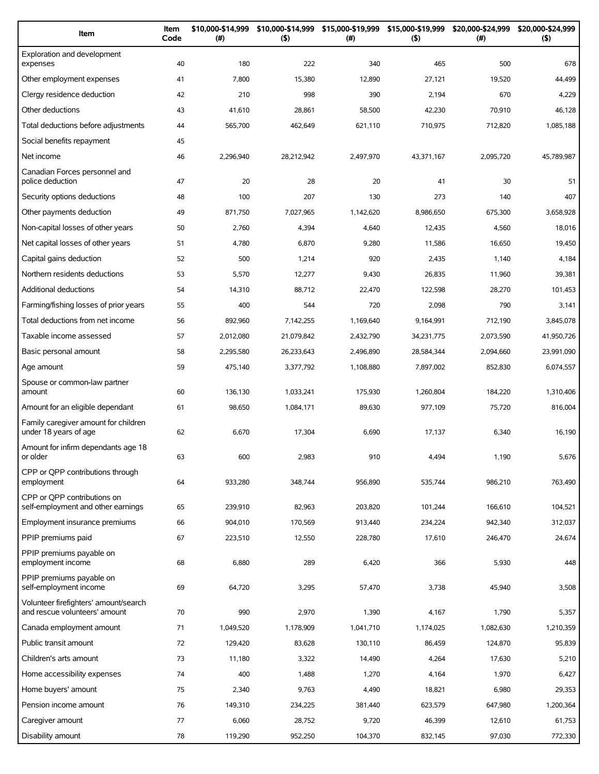| Item                                                                   | Item<br>Code | \$10,000-\$14,999<br>(#) | \$10,000-\$14,999<br>(5) | \$15,000-\$19,999<br>$(\#)$ | \$15,000-\$19,999<br>(5) | \$20,000-\$24,999<br>$(\#)$ | \$20,000-\$24,999<br>(5) |
|------------------------------------------------------------------------|--------------|--------------------------|--------------------------|-----------------------------|--------------------------|-----------------------------|--------------------------|
| Exploration and development<br>expenses                                | 40           | 180                      | 222                      | 340                         | 465                      | 500                         | 678                      |
| Other employment expenses                                              | 41           | 7,800                    | 15,380                   | 12,890                      | 27,121                   | 19,520                      | 44,499                   |
| Clergy residence deduction                                             | 42           | 210                      | 998                      | 390                         | 2,194                    | 670                         | 4,229                    |
| Other deductions                                                       | 43           | 41,610                   | 28,861                   | 58,500                      | 42,230                   | 70,910                      | 46,128                   |
| Total deductions before adjustments                                    | 44           | 565,700                  | 462.649                  | 621.110                     | 710,975                  | 712,820                     | 1,085,188                |
| Social benefits repayment                                              | 45           |                          |                          |                             |                          |                             |                          |
| Net income                                                             | 46           | 2,296,940                | 28,212,942               | 2,497,970                   | 43,371,167               | 2,095,720                   | 45,789,987               |
| Canadian Forces personnel and<br>police deduction                      | 47           | 20                       | 28                       | 20                          | 41                       | 30                          | 51                       |
| Security options deductions                                            | 48           | 100                      | 207                      | 130                         | 273                      | 140                         | 407                      |
| Other payments deduction                                               | 49           | 871,750                  | 7,027,965                | 1,142,620                   | 8,986,650                | 675,300                     | 3,658,928                |
| Non-capital losses of other years                                      | 50           | 2,760                    | 4,394                    | 4,640                       | 12,435                   | 4,560                       | 18,016                   |
| Net capital losses of other years                                      | 51           | 4,780                    | 6,870                    | 9,280                       | 11,586                   | 16,650                      | 19,450                   |
| Capital gains deduction                                                | 52           | 500                      | 1,214                    | 920                         | 2,435                    | 1,140                       | 4,184                    |
| Northern residents deductions                                          | 53           | 5,570                    | 12,277                   | 9,430                       | 26,835                   | 11,960                      | 39,381                   |
| <b>Additional deductions</b>                                           | 54           | 14,310                   | 88,712                   | 22,470                      | 122,598                  | 28,270                      | 101,453                  |
| Farming/fishing losses of prior years                                  | 55           | 400                      | 544                      | 720                         | 2,098                    | 790                         | 3,141                    |
| Total deductions from net income                                       | 56           | 892,960                  | 7,142,255                | 1,169,640                   | 9,164,991                | 712,190                     | 3,845,078                |
| Taxable income assessed                                                | 57           | 2,012,080                | 21,079,842               | 2,432,790                   | 34,231,775               | 2,073,590                   | 41,950,726               |
| Basic personal amount                                                  | 58           | 2,295,580                | 26,233,643               | 2,496,890                   | 28,584,344               | 2,094,660                   | 23,991,090               |
| Age amount                                                             | 59           | 475,140                  | 3,377,792                | 1,108,880                   | 7,897,002                | 852,830                     | 6,074,557                |
| Spouse or common-law partner<br>amount                                 | 60           | 136,130                  | 1,033,241                | 175,930                     | 1,260,804                | 184,220                     | 1,310,406                |
| Amount for an eligible dependant                                       | 61           | 98,650                   | 1,084,171                | 89,630                      | 977,109                  | 75,720                      | 816,004                  |
| Family caregiver amount for children<br>under 18 years of age          | 62           | 6,670                    | 17,304                   | 6,690                       | 17,137                   | 6,340                       | 16,190                   |
| Amount for infirm dependants age 18<br>or older                        | 63           | 600                      | 2,983                    | 910                         | 4,494                    | 1,190                       | 5,676                    |
| CPP or OPP contributions through<br>employment                         | 64           | 933,280                  | 348,744                  | 956,890                     | 535,744                  | 986,210                     | 763,490                  |
| CPP or OPP contributions on<br>self-employment and other earnings      | 65           | 239,910                  | 82,963                   | 203,820                     | 101,244                  | 166,610                     | 104,521                  |
| Employment insurance premiums                                          | 66           | 904,010                  | 170,569                  | 913,440                     | 234,224                  | 942,340                     | 312,037                  |
| PPIP premiums paid                                                     | 67           | 223,510                  | 12,550                   | 228,780                     | 17,610                   | 246,470                     | 24,674                   |
| PPIP premiums payable on<br>employment income                          | 68           | 6,880                    | 289                      | 6,420                       | 366                      | 5,930                       | 448                      |
| PPIP premiums payable on<br>self-employment income                     | 69           | 64,720                   | 3,295                    | 57,470                      | 3,738                    | 45,940                      | 3,508                    |
| Volunteer firefighters' amount/search<br>and rescue volunteers' amount | 70           | 990                      | 2,970                    | 1,390                       | 4,167                    | 1,790                       | 5,357                    |
| Canada employment amount                                               | 71           | 1,049,520                | 1,178,909                | 1,041,710                   | 1,174,025                | 1,082,630                   | 1,210,359                |
| Public transit amount                                                  | 72           | 129,420                  | 83,628                   | 130,110                     | 86,459                   | 124,870                     | 95,839                   |
| Children's arts amount                                                 | 73           | 11,180                   | 3,322                    | 14,490                      | 4,264                    | 17,630                      | 5,210                    |
| Home accessibility expenses                                            | 74           | 400                      | 1,488                    | 1,270                       | 4,164                    | 1,970                       | 6,427                    |
| Home buyers' amount                                                    | 75           | 2,340                    | 9,763                    | 4,490                       | 18,821                   | 6,980                       | 29,353                   |
| Pension income amount                                                  | 76           | 149,310                  | 234,225                  | 381,440                     | 623,579                  | 647,980                     | 1,200,364                |
| Caregiver amount                                                       | 77           | 6,060                    | 28,752                   | 9,720                       | 46,399                   | 12,610                      | 61,753                   |
| Disability amount                                                      | 78           | 119,290                  | 952,250                  | 104,370                     | 832,145                  | 97,030                      | 772,330                  |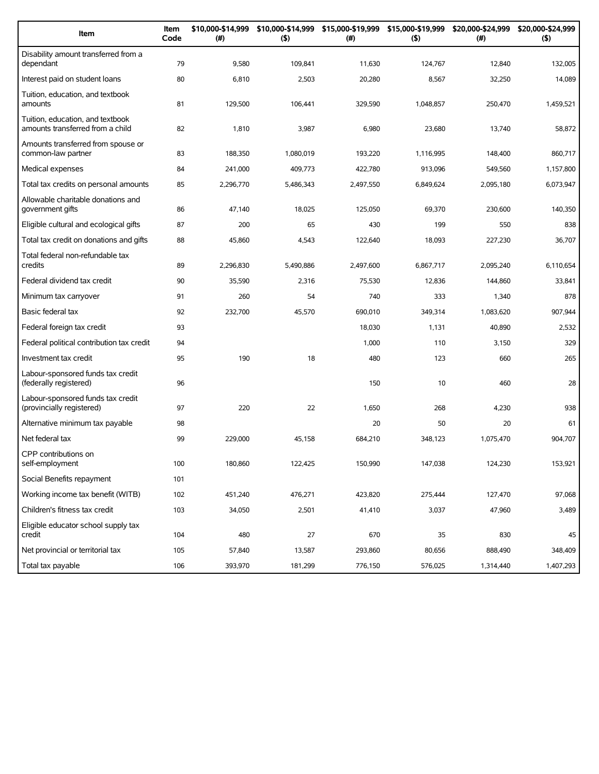| Item                                                                 | Item<br>Code | \$10,000-\$14,999<br>(#) | \$10,000-\$14,999<br>(5) | \$15,000-\$19,999<br>(#) | \$15,000-\$19,999<br>(5) | \$20,000-\$24,999<br>(#) | \$20,000-\$24,999<br>(5) |
|----------------------------------------------------------------------|--------------|--------------------------|--------------------------|--------------------------|--------------------------|--------------------------|--------------------------|
| Disability amount transferred from a<br>dependant                    | 79           | 9,580                    | 109,841                  | 11,630                   | 124,767                  | 12,840                   | 132,005                  |
| Interest paid on student loans                                       | 80           | 6,810                    | 2,503                    | 20,280                   | 8,567                    | 32,250                   | 14,089                   |
| Tuition, education, and textbook<br>amounts                          | 81           | 129,500                  | 106,441                  | 329,590                  | 1,048,857                | 250,470                  | 1,459,521                |
| Tuition, education, and textbook<br>amounts transferred from a child | 82           | 1,810                    | 3,987                    | 6,980                    | 23,680                   | 13,740                   | 58,872                   |
| Amounts transferred from spouse or<br>common-law partner             | 83           | 188,350                  | 1,080,019                | 193,220                  | 1,116,995                | 148,400                  | 860,717                  |
| Medical expenses                                                     | 84           | 241,000                  | 409,773                  | 422,780                  | 913,096                  | 549,560                  | 1,157,800                |
| Total tax credits on personal amounts                                | 85           | 2,296,770                | 5,486,343                | 2,497,550                | 6,849,624                | 2,095,180                | 6,073,947                |
| Allowable charitable donations and<br>government gifts               | 86           | 47,140                   | 18,025                   | 125,050                  | 69,370                   | 230,600                  | 140,350                  |
| Eligible cultural and ecological gifts                               | 87           | 200                      | 65                       | 430                      | 199                      | 550                      | 838                      |
| Total tax credit on donations and gifts                              | 88           | 45,860                   | 4,543                    | 122,640                  | 18,093                   | 227,230                  | 36,707                   |
| Total federal non-refundable tax<br>credits                          | 89           | 2,296,830                | 5,490,886                | 2,497,600                | 6,867,717                | 2,095,240                | 6,110,654                |
| Federal dividend tax credit                                          | 90           | 35,590                   | 2,316                    | 75,530                   | 12,836                   | 144,860                  | 33,841                   |
| Minimum tax carryover                                                | 91           | 260                      | 54                       | 740                      | 333                      | 1,340                    | 878                      |
| Basic federal tax                                                    | 92           | 232,700                  | 45,570                   | 690,010                  | 349,314                  | 1,083,620                | 907,944                  |
| Federal foreign tax credit                                           | 93           |                          |                          | 18,030                   | 1,131                    | 40,890                   | 2,532                    |
| Federal political contribution tax credit                            | 94           |                          |                          | 1,000                    | 110                      | 3,150                    | 329                      |
| Investment tax credit                                                | 95           | 190                      | 18                       | 480                      | 123                      | 660                      | 265                      |
| Labour-sponsored funds tax credit<br>(federally registered)          | 96           |                          |                          | 150                      | 10                       | 460                      | 28                       |
| Labour-sponsored funds tax credit<br>(provincially registered)       | 97           | 220                      | 22                       | 1,650                    | 268                      | 4,230                    | 938                      |
| Alternative minimum tax payable                                      | 98           |                          |                          | 20                       | 50                       | 20                       | 61                       |
| Net federal tax                                                      | 99           | 229,000                  | 45,158                   | 684,210                  | 348.123                  | 1,075,470                | 904,707                  |
| CPP contributions on<br>self-employment                              | 100          | 180,860                  | 122,425                  | 150,990                  | 147,038                  | 124,230                  | 153,921                  |
| Social Benefits repayment                                            | 101          |                          |                          |                          |                          |                          |                          |
| Working income tax benefit (WITB)                                    | 102          | 451,240                  | 476,271                  | 423,820                  | 275,444                  | 127,470                  | 97,068                   |
| Children's fitness tax credit                                        | 103          | 34,050                   | 2,501                    | 41,410                   | 3,037                    | 47,960                   | 3,489                    |
| Eligible educator school supply tax<br>credit                        | 104          | 480                      | 27                       | 670                      | 35                       | 830                      | 45                       |
| Net provincial or territorial tax                                    | 105          | 57,840                   | 13,587                   | 293,860                  | 80,656                   | 888,490                  | 348,409                  |
| Total tax payable                                                    | 106          | 393,970                  | 181,299                  | 776,150                  | 576,025                  | 1,314,440                | 1,407,293                |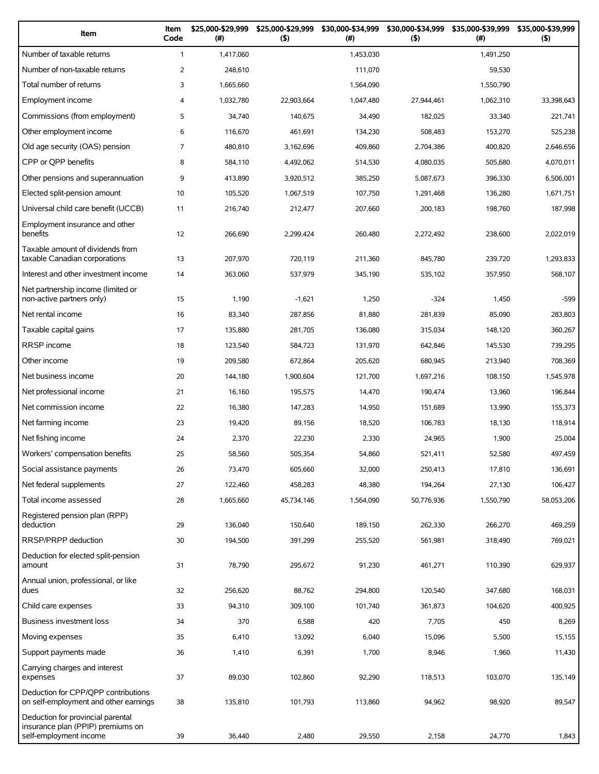| Item                                                                                             | Item<br>Code   | \$25,000-\$29,999<br>(#) | \$25,000-\$29,999<br>(5) | \$30,000-\$34,999<br>(#) | \$30,000-\$34,999<br>(5) | \$35,000-\$39,999<br>(#) | \$35,000-\$39,999<br>$($ \$) |
|--------------------------------------------------------------------------------------------------|----------------|--------------------------|--------------------------|--------------------------|--------------------------|--------------------------|------------------------------|
| Number of taxable returns                                                                        | $\mathbf{1}$   | 1,417,060                |                          | 1,453,030                |                          | 1,491,250                |                              |
| Number of non-taxable returns                                                                    | $\overline{2}$ | 248,610                  |                          | 111,070                  |                          | 59,530                   |                              |
| Total number of returns                                                                          | 3              | 1,665,660                |                          | 1,564,090                |                          | 1,550,790                |                              |
| Employment income                                                                                | 4              | 1,032,780                | 22,903,664               | 1,047,480                | 27,944,461               | 1,062,310                | 33,398,643                   |
| Commissions (from employment)                                                                    | 5              | 34,740                   | 140,675                  | 34,490                   | 182,025                  | 33,340                   | 221,741                      |
| Other employment income                                                                          | 6              | 116,670                  | 461,691                  | 134,230                  | 508,483                  | 153,270                  | 525,238                      |
| Old age security (OAS) pension                                                                   | 7              | 480,810                  | 3.162.696                | 409,860                  | 2,704,386                | 400,820                  | 2,646,656                    |
| CPP or QPP benefits                                                                              | 8              | 584,110                  | 4,492,062                | 514,530                  | 4,080,035                | 505,680                  | 4,070,011                    |
| Other pensions and superannuation                                                                | 9              | 413,890                  | 3,920,512                | 385,250                  | 5,087,673                | 396,330                  | 6,506,001                    |
| Elected split-pension amount                                                                     | 10             | 105,520                  | 1,067,519                | 107,750                  | 1,291,468                | 136,280                  | 1,671,751                    |
| Universal child care benefit (UCCB)                                                              | 11             | 216,740                  | 212,477                  | 207,660                  | 200,183                  | 198,760                  | 187,998                      |
| Employment insurance and other<br>benefits                                                       | 12             | 266,690                  | 2,299,424                | 260,480                  | 2,272,492                | 238,600                  | 2,022,019                    |
| Taxable amount of dividends from<br>taxable Canadian corporations                                | 13             | 207,970                  | 720,119                  | 211,360                  | 845,780                  | 239,720                  | 1,293,833                    |
| Interest and other investment income                                                             | 14             | 363,060                  | 537,979                  | 345,190                  | 535,102                  | 357,950                  | 568,107                      |
| Net partnership income (limited or<br>non-active partners only)                                  | 15             | 1,190                    | $-1,621$                 | 1,250                    | $-324$                   | 1,450                    | $-599$                       |
| Net rental income                                                                                | 16             | 83,340                   | 287,856                  | 81,880                   | 281,839                  | 85,090                   | 283,803                      |
| Taxable capital gains                                                                            | 17             | 135,880                  | 281,705                  | 136,080                  | 315,034                  | 148,120                  | 360,267                      |
| RRSP income                                                                                      | 18             | 123,540                  | 584,723                  | 131,970                  | 642,846                  | 145,530                  | 739,295                      |
| Other income                                                                                     | 19             | 209,580                  | 672,864                  | 205,620                  | 680,945                  | 213,940                  | 708,369                      |
| Net business income                                                                              | 20             | 144,180                  | 1,900,604                | 121,700                  | 1,697,216                | 108,150                  | 1,545,978                    |
| Net professional income                                                                          | 21             | 16,160                   | 195,575                  | 14,470                   | 190,474                  | 13,960                   | 196,844                      |
| Net commission income                                                                            | 22             | 16,380                   | 147,283                  | 14,950                   | 151,689                  | 13,990                   | 155,373                      |
| Net farming income                                                                               | 23             | 19,420                   | 89,156                   | 18,520                   | 106,783                  | 18,130                   | 118,914                      |
| Net fishing income                                                                               | 24             | 2,370                    | 22,230                   | 2,330                    | 24,965                   | 1,900                    | 25,004                       |
| Workers' compensation benefits                                                                   | 25             | 58,560                   | 505,354                  | 54,860                   | 521,411                  | 52,580                   | 497,459                      |
| Social assistance payments                                                                       | 26             | 73,470                   | 605,660                  | 32,000                   | 250,413                  | 17,810                   | 136,691                      |
| Net federal supplements                                                                          | 27             | 122,460                  | 458,283                  | 48,380                   | 194,264                  | 27,130                   | 106,427                      |
| Total income assessed                                                                            | 28             | 1,665,660                | 45,734,146               | 1,564,090                | 50,776,936               | 1,550,790                | 58,053,206                   |
| Registered pension plan (RPP)<br>deduction                                                       | 29             | 136,040                  | 150,640                  | 189,150                  | 262,330                  | 266,270                  | 469,259                      |
| RRSP/PRPP deduction                                                                              | 30             | 194,500                  | 391,299                  | 255,520                  | 561,981                  | 318,490                  | 769,021                      |
| Deduction for elected split-pension                                                              |                |                          |                          |                          |                          |                          |                              |
| amount<br>Annual union, professional, or like                                                    | 31             | 78,790                   | 295,672                  | 91,230                   | 461,271                  | 110,390                  | 629,937                      |
| dues                                                                                             | 32             | 256,620                  | 88,762                   | 294,800                  | 120,540                  | 347,680                  | 168,031                      |
| Child care expenses                                                                              | 33             | 94,310                   | 309,100                  | 101,740                  | 361,873                  | 104,620                  | 400,925                      |
| Business investment loss                                                                         | 34             | 370                      | 6,588                    | 420                      | 7,705                    | 450                      | 8,269                        |
| Moving expenses                                                                                  | 35             | 6,410                    | 13,092                   | 6,040                    | 15,096                   | 5,500                    | 15,155                       |
| Support payments made                                                                            | 36             | 1,410                    | 6,391                    | 1,700                    | 8,946                    | 1,960                    | 11,430                       |
| Carrying charges and interest<br>expenses                                                        | 37             | 89,030                   | 102,860                  | 92,290                   | 118,513                  | 103,070                  | 135,149                      |
| Deduction for CPP/QPP contributions<br>on self-employment and other earnings                     | 38             | 135,810                  | 101,793                  | 113,860                  | 94,962                   | 98,920                   | 89,547                       |
| Deduction for provincial parental<br>insurance plan (PPIP) premiums on<br>self-employment income | 39             | 36,440                   | 2,480                    | 29,550                   | 2,158                    | 24,770                   | 1,843                        |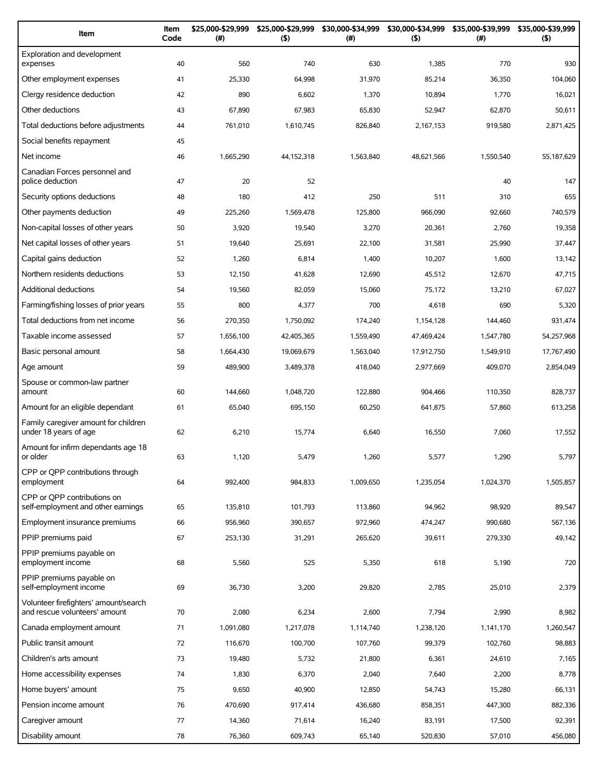| Item                                                                   | Item<br>Code | \$25,000-\$29,999<br>(#) | \$25,000-\$29,999<br>(5) | \$30,000-\$34,999<br>(#) | \$30,000-\$34,999<br>(5) | \$35,000-\$39,999<br>$(\#)$ | \$35,000-\$39,999<br>(5) |
|------------------------------------------------------------------------|--------------|--------------------------|--------------------------|--------------------------|--------------------------|-----------------------------|--------------------------|
| Exploration and development<br>expenses                                | 40           | 560                      | 740                      | 630                      | 1,385                    | 770                         | 930                      |
| Other employment expenses                                              | 41           | 25,330                   | 64,998                   | 31,970                   | 85,214                   | 36,350                      | 104,060                  |
| Clergy residence deduction                                             | 42           | 890                      | 6,602                    | 1,370                    | 10,894                   | 1,770                       | 16,021                   |
| Other deductions                                                       | 43           | 67,890                   | 67,983                   | 65,830                   | 52,947                   | 62,870                      | 50,611                   |
| Total deductions before adjustments                                    | 44           | 761,010                  | 1,610,745                | 826,840                  | 2,167,153                | 919,580                     | 2,871,425                |
| Social benefits repayment                                              | 45           |                          |                          |                          |                          |                             |                          |
| Net income                                                             | 46           | 1,665,290                | 44,152,318               | 1,563,840                | 48,621,566               | 1,550,540                   | 55,187,629               |
| Canadian Forces personnel and<br>police deduction                      | 47           | 20                       | 52                       |                          |                          | 40                          | 147                      |
| Security options deductions                                            | 48           | 180                      | 412                      | 250                      | 511                      | 310                         | 655                      |
| Other payments deduction                                               | 49           | 225,260                  | 1,569,478                | 125.800                  | 966,090                  | 92,660                      | 740,579                  |
| Non-capital losses of other years                                      | 50           | 3,920                    | 19,540                   | 3,270                    | 20,361                   | 2,760                       | 19,358                   |
| Net capital losses of other years                                      | 51           | 19,640                   | 25,691                   | 22,100                   | 31,581                   | 25,990                      | 37,447                   |
| Capital gains deduction                                                | 52           | 1,260                    | 6,814                    | 1,400                    | 10,207                   | 1,600                       | 13,142                   |
| Northern residents deductions                                          | 53           | 12,150                   | 41,628                   | 12,690                   | 45,512                   | 12,670                      | 47,715                   |
| <b>Additional deductions</b>                                           | 54           | 19,560                   | 82,059                   | 15,060                   | 75,172                   | 13,210                      | 67,027                   |
| Farming/fishing losses of prior years                                  | 55           | 800                      | 4,377                    | 700                      | 4,618                    | 690                         | 5,320                    |
| Total deductions from net income                                       | 56           | 270,350                  | 1,750,092                | 174,240                  | 1,154,128                | 144,460                     | 931,474                  |
| Taxable income assessed                                                | 57           | 1,656,100                | 42,405,365               | 1,559,490                | 47,469,424               | 1,547,780                   | 54,257,968               |
| Basic personal amount                                                  | 58           | 1,664,430                | 19,069,679               | 1,563,040                | 17,912,750               | 1,549,910                   | 17,767,490               |
| Age amount                                                             | 59           | 489,900                  | 3,489,378                | 418,040                  | 2,977,669                | 409,070                     | 2,854,049                |
| Spouse or common-law partner<br>amount                                 | 60           | 144,660                  | 1,048,720                | 122,880                  | 904,466                  | 110,350                     | 828,737                  |
| Amount for an eligible dependant                                       | 61           | 65,040                   | 695,150                  | 60,250                   | 641,875                  | 57,860                      | 613,258                  |
| Family caregiver amount for children<br>under 18 years of age          | 62           | 6,210                    | 15,774                   | 6,640                    | 16,550                   | 7,060                       | 17,552                   |
| Amount for infirm dependants age 18<br>or older                        | 63           | 1,120                    | 5,479                    | 1,260                    | 5,577                    | 1,290                       | 5,797                    |
| CPP or QPP contributions through<br>employment                         | 64           | 992,400                  | 984,833                  | 1,009,650                | 1,235,054                | 1,024,370                   | 1,505,857                |
| CPP or OPP contributions on                                            |              |                          |                          |                          |                          |                             |                          |
| self-employment and other earnings                                     | 65           | 135,810                  | 101,793                  | 113,860                  | 94,962                   | 98,920                      | 89,547                   |
| Employment insurance premiums                                          | 66           | 956,960                  | 390,657                  | 972,960                  | 474,247                  | 990,680                     | 567,136                  |
| PPIP premiums paid                                                     | 67           | 253,130                  | 31,291                   | 265,620                  | 39,611                   | 279,330                     | 49,142                   |
| PPIP premiums payable on<br>employment income                          | 68           | 5,560                    | 525                      | 5,350                    | 618                      | 5,190                       | 720                      |
| PPIP premiums payable on<br>self-employment income                     | 69           | 36,730                   | 3,200                    | 29,820                   | 2,785                    | 25,010                      | 2,379                    |
| Volunteer firefighters' amount/search<br>and rescue volunteers' amount | 70           | 2,080                    | 6,234                    | 2,600                    | 7,794                    | 2,990                       | 8,982                    |
| Canada employment amount                                               | 71           | 1,091,080                | 1,217,078                | 1,114,740                | 1,238,120                | 1,141,170                   | 1,260,547                |
| Public transit amount                                                  | 72           | 116,670                  | 100,700                  | 107,760                  | 99,379                   | 102,760                     | 98,883                   |
| Children's arts amount                                                 | 73           | 19,480                   | 5,732                    | 21,800                   | 6,361                    | 24,610                      | 7,165                    |
| Home accessibility expenses                                            | 74           | 1,830                    | 6,370                    | 2,040                    | 7,640                    | 2,200                       | 8,778                    |
| Home buyers' amount                                                    | 75           | 9,650                    | 40,900                   | 12,850                   | 54,743                   | 15,280                      | 66,131                   |
| Pension income amount                                                  | 76           | 470,690                  | 917,414                  | 436,680                  | 858,351                  | 447,300                     | 882,336                  |
| Caregiver amount                                                       | 77           | 14,360                   | 71,614                   | 16,240                   | 83,191                   | 17,500                      | 92,391                   |
| Disability amount                                                      | 78           | 76,360                   | 609,743                  | 65,140                   | 520,830                  | 57,010                      | 456,080                  |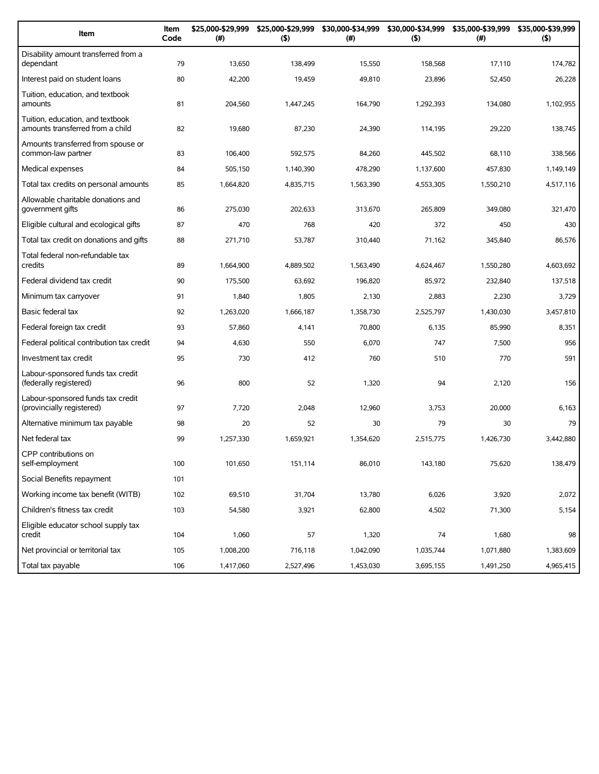| Item                                                                 | Item<br>Code | \$25,000-\$29,999<br>(#) | \$25,000-\$29,999<br>(5) | \$30,000-\$34,999<br>(#) | (5)       | \$30,000-\$34,999 \$35,000-\$39,999<br>(# ) | \$35,000-\$39,999<br>(5) |
|----------------------------------------------------------------------|--------------|--------------------------|--------------------------|--------------------------|-----------|---------------------------------------------|--------------------------|
| Disability amount transferred from a<br>dependant                    | 79           | 13,650                   | 138,499                  | 15,550                   | 158,568   | 17,110                                      | 174,782                  |
| Interest paid on student loans                                       | 80           | 42,200                   | 19,459                   | 49,810                   | 23,896    | 52,450                                      | 26,228                   |
| Tuition, education, and textbook<br>amounts                          | 81           | 204,560                  | 1,447,245                | 164,790                  | 1,292,393 | 134,080                                     | 1,102,955                |
| Tuition, education, and textbook<br>amounts transferred from a child | 82           | 19,680                   | 87,230                   | 24,390                   | 114,195   | 29,220                                      | 138,745                  |
| Amounts transferred from spouse or<br>common-law partner             | 83           | 106,400                  | 592,575                  | 84,260                   | 445,502   | 68,110                                      | 338,566                  |
| Medical expenses                                                     | 84           | 505,150                  | 1,140,390                | 478,290                  | 1,137,600 | 457,830                                     | 1,149,149                |
| Total tax credits on personal amounts                                | 85           | 1,664,820                | 4,835,715                | 1,563,390                | 4,553,305 | 1,550,210                                   | 4,517,116                |
| Allowable charitable donations and<br>government gifts               | 86           | 275,030                  | 202,633                  | 313,670                  | 265,809   | 349,080                                     | 321,470                  |
| Eligible cultural and ecological gifts                               | 87           | 470                      | 768                      | 420                      | 372       | 450                                         | 430                      |
| Total tax credit on donations and gifts                              | 88           | 271,710                  | 53,787                   | 310,440                  | 71,162    | 345,840                                     | 86,576                   |
| Total federal non-refundable tax<br>credits                          | 89           | 1,664,900                | 4,889,502                | 1.563.490                | 4,624,467 | 1,550,280                                   | 4,603,692                |
| Federal dividend tax credit                                          | 90           | 175,500                  | 63,692                   | 196,820                  | 85,972    | 232,840                                     | 137,518                  |
| Minimum tax carryover                                                | 91           | 1,840                    | 1,805                    | 2,130                    | 2,883     | 2,230                                       | 3,729                    |
| Basic federal tax                                                    | 92           | 1,263,020                | 1,666,187                | 1,358,730                | 2,525,797 | 1,430,030                                   | 3,457,810                |
| Federal foreign tax credit                                           | 93           | 57,860                   | 4,141                    | 70,800                   | 6,135     | 85,990                                      | 8,351                    |
| Federal political contribution tax credit                            | 94           | 4,630                    | 550                      | 6,070                    | 747       | 7,500                                       | 956                      |
| Investment tax credit                                                | 95           | 730                      | 412                      | 760                      | 510       | 770                                         | 591                      |
| Labour-sponsored funds tax credit<br>(federally registered)          | 96           | 800                      | 52                       | 1,320                    | 94        | 2,120                                       | 156                      |
| Labour-sponsored funds tax credit<br>(provincially registered)       | 97           | 7,720                    | 2,048                    | 12,960                   | 3,753     | 20,000                                      | 6,163                    |
| Alternative minimum tax payable                                      | 98           | 20                       | 52                       | 30                       | 79        | 30                                          | 79                       |
| Net federal tax                                                      | 99           | 1,257,330                | 1,659,921                | 1,354,620                | 2,515,775 | 1,426,730                                   | 3,442,880                |
| CPP contributions on<br>self-employment                              | 100          | 101,650                  | 151,114                  | 86,010                   | 143,180   | 75,620                                      | 138,479                  |
| Social Benefits repayment                                            | 101          |                          |                          |                          |           |                                             |                          |
| Working income tax benefit (WITB)                                    | 102          | 69,510                   | 31,704                   | 13,780                   | 6,026     | 3,920                                       | 2,072                    |
| Children's fitness tax credit                                        | 103          | 54,580                   | 3,921                    | 62,800                   | 4,502     | 71,300                                      | 5,154                    |
| Eligible educator school supply tax<br>credit                        | 104          | 1,060                    | 57                       | 1,320                    | 74        | 1,680                                       | 98                       |
| Net provincial or territorial tax                                    | 105          | 1,008,200                | 716,118                  | 1,042,090                | 1,035,744 | 1,071,880                                   | 1,383,609                |
| Total tax payable                                                    | 106          | 1,417,060                | 2,527,496                | 1,453,030                | 3,695,155 | 1,491,250                                   | 4,965,415                |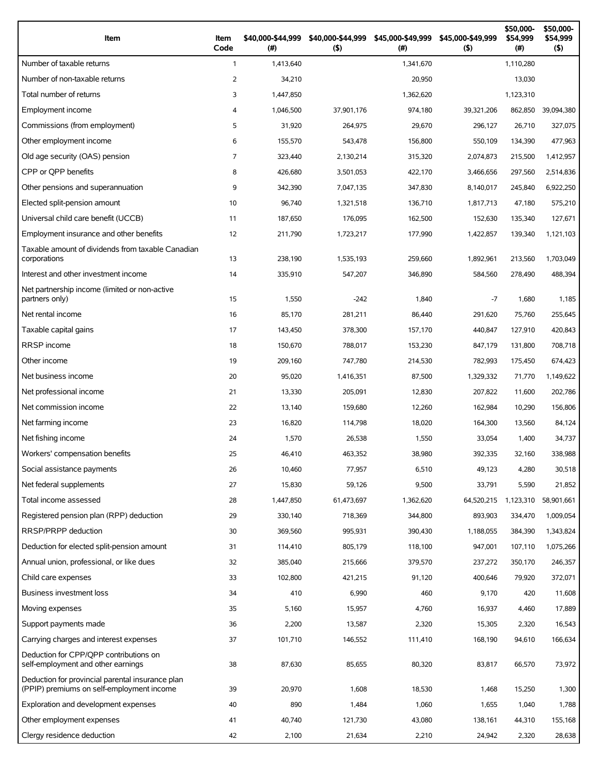| Item                                                                                          | Item<br>Code   | \$40,000-\$44,999<br>(#) | \$40,000-\$44,999<br>$($ \$) | \$45,000-\$49,999<br>(#) | \$45,000-\$49,999<br>(5) | \$50,000-<br>\$54,999<br>(#) | \$50,000-<br>\$54,999<br>(5) |
|-----------------------------------------------------------------------------------------------|----------------|--------------------------|------------------------------|--------------------------|--------------------------|------------------------------|------------------------------|
| Number of taxable returns                                                                     | $\mathbf{1}$   | 1,413,640                |                              | 1,341,670                |                          | 1,110,280                    |                              |
| Number of non-taxable returns                                                                 | 2              | 34,210                   |                              | 20,950                   |                          | 13,030                       |                              |
| Total number of returns                                                                       | 3              | 1,447,850                |                              | 1,362,620                |                          | 1,123,310                    |                              |
| Employment income                                                                             | 4              | 1,046,500                | 37,901,176                   | 974,180                  | 39,321,206               | 862,850                      | 39,094,380                   |
| Commissions (from employment)                                                                 | 5              | 31,920                   | 264,975                      | 29,670                   | 296,127                  | 26,710                       | 327,075                      |
| Other employment income                                                                       | 6              | 155,570                  | 543,478                      | 156,800                  | 550,109                  | 134,390                      | 477,963                      |
| Old age security (OAS) pension                                                                | $\overline{7}$ | 323,440                  | 2,130,214                    | 315,320                  | 2,074,873                | 215,500                      | 1,412,957                    |
| CPP or OPP benefits                                                                           | 8              | 426,680                  | 3,501,053                    | 422,170                  | 3,466,656                | 297,560                      | 2,514,836                    |
| Other pensions and superannuation                                                             | 9              | 342,390                  | 7,047,135                    | 347,830                  | 8,140,017                | 245,840                      | 6,922,250                    |
| Elected split-pension amount                                                                  | 10             | 96,740                   | 1,321,518                    | 136,710                  | 1,817,713                | 47,180                       | 575,210                      |
| Universal child care benefit (UCCB)                                                           | 11             | 187,650                  | 176,095                      | 162,500                  | 152,630                  | 135,340                      | 127,671                      |
| Employment insurance and other benefits                                                       | 12             | 211,790                  | 1,723,217                    | 177,990                  | 1,422,857                | 139,340                      | 1,121,103                    |
| Taxable amount of dividends from taxable Canadian<br>corporations                             | 13             | 238,190                  | 1,535,193                    | 259,660                  | 1,892,961                | 213,560                      | 1,703,049                    |
| Interest and other investment income                                                          | 14             | 335,910                  | 547,207                      | 346,890                  | 584,560                  | 278,490                      | 488,394                      |
| Net partnership income (limited or non-active<br>partners only)                               | 15             | 1,550                    | $-242$                       | 1,840                    | $-7$                     | 1,680                        | 1,185                        |
| Net rental income                                                                             | 16             | 85,170                   | 281,211                      | 86,440                   | 291,620                  | 75,760                       | 255,645                      |
| Taxable capital gains                                                                         | 17             | 143,450                  | 378,300                      | 157,170                  | 440,847                  | 127,910                      | 420,843                      |
| <b>RRSP</b> income                                                                            | 18             | 150,670                  | 788,017                      | 153,230                  | 847,179                  | 131,800                      | 708,718                      |
| Other income                                                                                  | 19             | 209,160                  | 747,780                      | 214,530                  | 782,993                  | 175,450                      | 674,423                      |
| Net business income                                                                           | 20             | 95,020                   | 1,416,351                    | 87,500                   | 1,329,332                | 71,770                       | 1,149,622                    |
| Net professional income                                                                       | 21             | 13,330                   | 205,091                      | 12,830                   | 207,822                  | 11,600                       | 202,786                      |
| Net commission income                                                                         | 22             | 13,140                   | 159,680                      | 12,260                   | 162,984                  | 10,290                       | 156,806                      |
| Net farming income                                                                            | 23             | 16,820                   | 114,798                      | 18,020                   | 164,300                  | 13,560                       | 84,124                       |
| Net fishing income                                                                            | 24             | 1,570                    | 26,538                       | 1,550                    | 33,054                   | 1,400                        | 34,737                       |
| Workers' compensation benefits                                                                | 25             | 46,410                   | 463,352                      | 38,980                   | 392,335                  | 32,160                       | 338.988                      |
| Social assistance payments                                                                    | 26             | 10,460                   | 77,957                       | 6,510                    | 49,123                   | 4,280                        | 30,518                       |
| Net federal supplements                                                                       | 27             | 15,830                   | 59,126                       | 9,500                    | 33,791                   | 5,590                        | 21,852                       |
| Total income assessed                                                                         | 28             | 1,447,850                | 61,473,697                   | 1,362,620                | 64,520,215               | 1,123,310                    | 58,901,661                   |
| Registered pension plan (RPP) deduction                                                       | 29             | 330,140                  | 718,369                      | 344,800                  | 893,903                  | 334,470                      | 1,009,054                    |
| RRSP/PRPP deduction                                                                           | 30             | 369,560                  | 995,931                      | 390,430                  | 1,188,055                | 384,390                      | 1,343,824                    |
| Deduction for elected split-pension amount                                                    | 31             | 114,410                  | 805,179                      | 118,100                  | 947,001                  | 107,110                      | 1,075,266                    |
| Annual union, professional, or like dues                                                      | 32             | 385,040                  | 215,666                      | 379,570                  | 237,272                  | 350,170                      | 246,357                      |
| Child care expenses                                                                           | 33             | 102,800                  | 421,215                      | 91,120                   | 400,646                  | 79,920                       | 372,071                      |
| Business investment loss                                                                      | 34             | 410                      | 6,990                        | 460                      | 9,170                    | 420                          | 11,608                       |
| Moving expenses                                                                               | 35             | 5,160                    | 15,957                       | 4,760                    | 16,937                   | 4,460                        | 17,889                       |
| Support payments made                                                                         | 36             | 2,200                    | 13,587                       | 2,320                    | 15,305                   | 2,320                        | 16,543                       |
| Carrying charges and interest expenses                                                        | 37             | 101,710                  | 146,552                      | 111,410                  | 168,190                  | 94,610                       | 166,634                      |
| Deduction for CPP/QPP contributions on<br>self-employment and other earnings                  | 38             | 87,630                   | 85,655                       | 80,320                   | 83,817                   | 66,570                       | 73,972                       |
| Deduction for provincial parental insurance plan<br>(PPIP) premiums on self-employment income | 39             | 20,970                   | 1,608                        | 18,530                   | 1,468                    | 15,250                       | 1,300                        |
| Exploration and development expenses                                                          | 40             | 890                      | 1,484                        | 1,060                    | 1,655                    | 1,040                        | 1,788                        |
| Other employment expenses                                                                     | 41             | 40,740                   | 121,730                      | 43,080                   | 138,161                  | 44,310                       | 155,168                      |
| Clergy residence deduction                                                                    | 42             | 2,100                    | 21,634                       | 2,210                    | 24,942                   | 2,320                        | 28,638                       |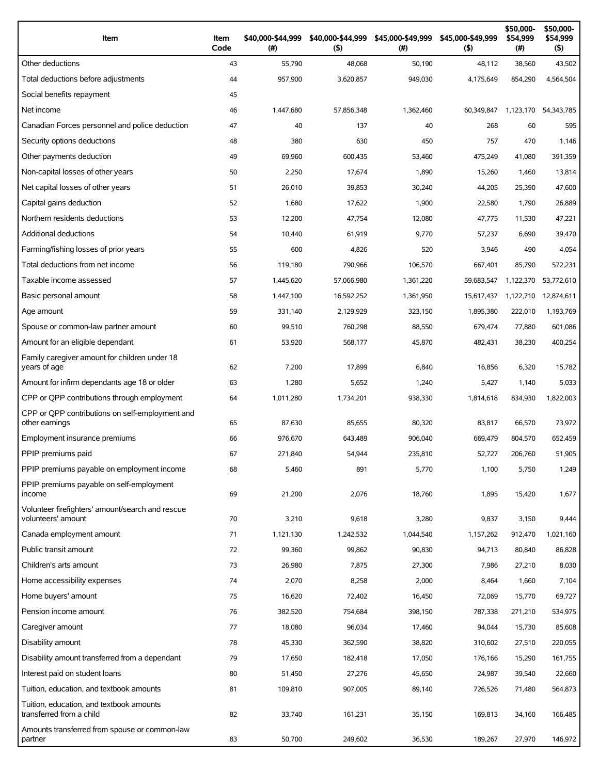| Item                                                                   | Item<br>Code | \$40,000-\$44,999<br>(#) | \$40,000-\$44,999<br>$($ \$) | \$45,000-\$49,999<br>(# ) | \$45,000-\$49,999<br>$($ \$) | \$50,000-<br>\$54,999<br>(#) | \$50,000-<br>\$54,999<br>$($ \$) |
|------------------------------------------------------------------------|--------------|--------------------------|------------------------------|---------------------------|------------------------------|------------------------------|----------------------------------|
| Other deductions                                                       | 43           | 55,790                   | 48,068                       | 50,190                    | 48,112                       | 38,560                       | 43,502                           |
| Total deductions before adjustments                                    | 44           | 957,900                  | 3,620,857                    | 949,030                   | 4,175,649                    | 854,290                      | 4,564,504                        |
| Social benefits repayment                                              | 45           |                          |                              |                           |                              |                              |                                  |
| Net income                                                             | 46           | 1,447,680                | 57,856,348                   | 1,362,460                 | 60,349,847                   | 1,123,170                    | 54,343,785                       |
| Canadian Forces personnel and police deduction                         | 47           | 40                       | 137                          | 40                        | 268                          | 60                           | 595                              |
| Security options deductions                                            | 48           | 380                      | 630                          | 450                       | 757                          | 470                          | 1,146                            |
| Other payments deduction                                               | 49           | 69,960                   | 600,435                      | 53,460                    | 475,249                      | 41,080                       | 391,359                          |
| Non-capital losses of other years                                      | 50           | 2,250                    | 17,674                       | 1,890                     | 15,260                       | 1,460                        | 13,814                           |
| Net capital losses of other years                                      | 51           | 26,010                   | 39,853                       | 30,240                    | 44,205                       | 25,390                       | 47,600                           |
| Capital gains deduction                                                | 52           | 1,680                    | 17,622                       | 1,900                     | 22,580                       | 1,790                        | 26,889                           |
| Northern residents deductions                                          | 53           | 12,200                   | 47,754                       | 12,080                    | 47,775                       | 11,530                       | 47,221                           |
| Additional deductions                                                  | 54           | 10,440                   | 61,919                       | 9,770                     | 57,237                       | 6,690                        | 39,470                           |
| Farming/fishing losses of prior years                                  | 55           | 600                      | 4,826                        | 520                       | 3,946                        | 490                          | 4,054                            |
| Total deductions from net income                                       | 56           | 119,180                  | 790,966                      | 106,570                   | 667,401                      | 85,790                       | 572,231                          |
| Taxable income assessed                                                | 57           | 1,445,620                | 57,066,980                   | 1,361,220                 | 59,683,547                   | 1,122,370                    | 53,772,610                       |
| Basic personal amount                                                  | 58           | 1,447,100                | 16,592,252                   | 1,361,950                 | 15,617,437                   | 1,122,710                    | 12,874,611                       |
| Age amount                                                             | 59           | 331,140                  | 2,129,929                    | 323,150                   | 1,895,380                    | 222,010                      | 1,193,769                        |
| Spouse or common-law partner amount                                    | 60           | 99,510                   | 760,298                      | 88,550                    | 679,474                      | 77,880                       | 601,086                          |
| Amount for an eligible dependant                                       | 61           | 53,920                   | 568,177                      | 45,870                    | 482,431                      | 38,230                       | 400,254                          |
| Family caregiver amount for children under 18<br>years of age          | 62           | 7,200                    | 17,899                       | 6,840                     | 16,856                       | 6,320                        | 15,782                           |
| Amount for infirm dependants age 18 or older                           | 63           | 1,280                    | 5,652                        | 1,240                     | 5,427                        | 1,140                        | 5,033                            |
| CPP or QPP contributions through employment                            | 64           | 1,011,280                | 1,734,201                    | 938,330                   | 1,814,618                    | 834,930                      | 1,822,003                        |
| CPP or QPP contributions on self-employment and<br>other earnings      | 65           | 87,630                   | 85,655                       | 80,320                    | 83,817                       | 66,570                       | 73,972                           |
| Employment insurance premiums                                          | 66           | 976,670                  | 643,489                      | 906,040                   | 669,479                      | 804,570                      | 652,459                          |
| PPIP premiums paid                                                     | 67           | 271,840                  | 54,944                       | 235,810                   | 52,727                       | 206,760                      | 51,905                           |
| PPIP premiums payable on employment income                             | 68           | 5,460                    | 891                          | 5,770                     | 1,100                        | 5,750                        | 1,249                            |
| PPIP premiums payable on self-employment<br>income                     | 69           | 21,200                   | 2,076                        | 18,760                    | 1,895                        | 15,420                       | 1,677                            |
| Volunteer firefighters' amount/search and rescue<br>volunteers' amount | 70           | 3,210                    | 9,618                        | 3,280                     | 9,837                        | 3,150                        | 9,444                            |
| Canada employment amount                                               | 71           | 1,121,130                | 1,242,532                    | 1,044,540                 | 1,157,262                    | 912,470                      | 1,021,160                        |
| Public transit amount                                                  | 72           | 99,360                   | 99,862                       | 90,830                    | 94,713                       | 80,840                       | 86,828                           |
| Children's arts amount                                                 | 73           | 26,980                   | 7,875                        | 27,300                    | 7,986                        | 27,210                       | 8,030                            |
| Home accessibility expenses                                            | 74           | 2,070                    | 8,258                        | 2,000                     | 8,464                        | 1,660                        | 7,104                            |
| Home buyers' amount                                                    | 75           | 16,620                   | 72,402                       | 16,450                    | 72,069                       | 15,770                       | 69,727                           |
| Pension income amount                                                  | 76           | 382,520                  | 754,684                      | 398,150                   | 787,338                      | 271,210                      | 534,975                          |
| Caregiver amount                                                       | 77           | 18,080                   | 96,034                       | 17,460                    | 94,044                       | 15,730                       | 85,608                           |
| Disability amount                                                      | 78           | 45,330                   | 362,590                      | 38,820                    | 310,602                      | 27,510                       | 220,055                          |
| Disability amount transferred from a dependant                         | 79           | 17,650                   | 182,418                      | 17,050                    | 176,166                      | 15,290                       | 161,755                          |
| Interest paid on student loans                                         | 80           | 51,450                   | 27,276                       | 45,650                    | 24,987                       | 39,540                       | 22,660                           |
| Tuition, education, and textbook amounts                               | 81           | 109,810                  | 907,005                      | 89,140                    | 726,526                      | 71,480                       | 564,873                          |
| Tuition, education, and textbook amounts<br>transferred from a child   | 82           | 33,740                   | 161,231                      | 35,150                    | 169,813                      | 34,160                       | 166,485                          |
| Amounts transferred from spouse or common-law<br>partner               | 83           | 50,700                   | 249,602                      | 36,530                    | 189,267                      | 27,970                       | 146,972                          |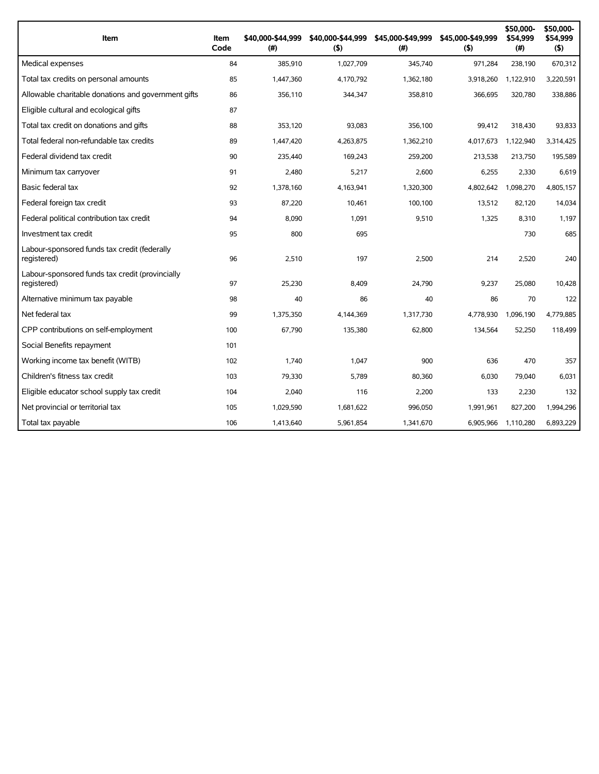| Item                                                           | Item<br>Code | \$40,000-\$44,999<br>(#) | \$40,000-\$44,999<br>(5) | \$45,000-\$49,999<br>(#) | \$45,000-\$49,999<br>(5) | \$50,000-<br>\$54,999<br>(#) | \$50,000-<br>\$54,999<br>$($ \$) |
|----------------------------------------------------------------|--------------|--------------------------|--------------------------|--------------------------|--------------------------|------------------------------|----------------------------------|
| Medical expenses                                               | 84           | 385,910                  | 1,027,709                | 345,740                  | 971,284                  | 238,190                      | 670,312                          |
| Total tax credits on personal amounts                          | 85           | 1,447,360                | 4,170,792                | 1,362,180                | 3,918,260                | 1,122,910                    | 3,220,591                        |
| Allowable charitable donations and government gifts            | 86           | 356,110                  | 344,347                  | 358,810                  | 366,695                  | 320,780                      | 338,886                          |
| Eligible cultural and ecological gifts                         | 87           |                          |                          |                          |                          |                              |                                  |
| Total tax credit on donations and gifts                        | 88           | 353,120                  | 93,083                   | 356,100                  | 99,412                   | 318,430                      | 93,833                           |
| Total federal non-refundable tax credits                       | 89           | 1,447,420                | 4,263,875                | 1,362,210                | 4,017,673                | 1,122,940                    | 3,314,425                        |
| Federal dividend tax credit                                    | 90           | 235,440                  | 169,243                  | 259,200                  | 213,538                  | 213,750                      | 195,589                          |
| Minimum tax carryover                                          | 91           | 2,480                    | 5,217                    | 2,600                    | 6,255                    | 2,330                        | 6,619                            |
| Basic federal tax                                              | 92           | 1,378,160                | 4,163,941                | 1,320,300                | 4,802,642                | 1,098,270                    | 4,805,157                        |
| Federal foreign tax credit                                     | 93           | 87,220                   | 10,461                   | 100,100                  | 13,512                   | 82,120                       | 14,034                           |
| Federal political contribution tax credit                      | 94           | 8,090                    | 1,091                    | 9,510                    | 1,325                    | 8,310                        | 1,197                            |
| Investment tax credit                                          | 95           | 800                      | 695                      |                          |                          | 730                          | 685                              |
| Labour-sponsored funds tax credit (federally<br>registered)    | 96           | 2,510                    | 197                      | 2,500                    | 214                      | 2,520                        | 240                              |
| Labour-sponsored funds tax credit (provincially<br>registered) | 97           | 25,230                   | 8,409                    | 24,790                   | 9,237                    | 25,080                       | 10,428                           |
| Alternative minimum tax payable                                | 98           | 40                       | 86                       | 40                       | 86                       | 70                           | 122                              |
| Net federal tax                                                | 99           | 1,375,350                | 4,144,369                | 1,317,730                | 4,778,930                | 1,096,190                    | 4,779,885                        |
| CPP contributions on self-employment                           | 100          | 67,790                   | 135,380                  | 62,800                   | 134,564                  | 52,250                       | 118,499                          |
| Social Benefits repayment                                      | 101          |                          |                          |                          |                          |                              |                                  |
| Working income tax benefit (WITB)                              | 102          | 1,740                    | 1,047                    | 900                      | 636                      | 470                          | 357                              |
| Children's fitness tax credit                                  | 103          | 79,330                   | 5,789                    | 80,360                   | 6,030                    | 79,040                       | 6,031                            |
| Eligible educator school supply tax credit                     | 104          | 2,040                    | 116                      | 2,200                    | 133                      | 2,230                        | 132                              |
| Net provincial or territorial tax                              | 105          | 1,029,590                | 1,681,622                | 996,050                  | 1,991,961                | 827,200                      | 1,994,296                        |
| Total tax payable                                              | 106          | 1,413,640                | 5,961,854                | 1,341,670                | 6,905,966                | 1,110,280                    | 6,893,229                        |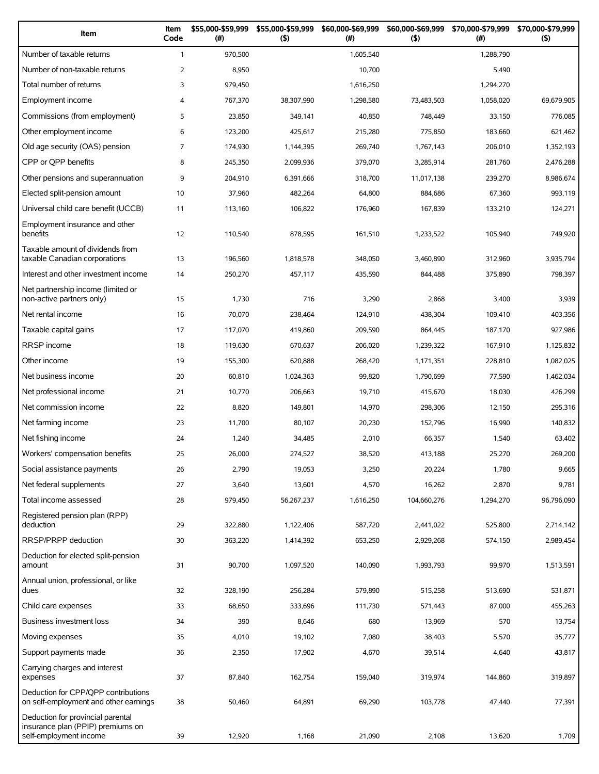| Item                                                                                             | Item<br>Code   | \$55,000-\$59,999<br>(#) | \$55,000-\$59,999<br>(5) | \$60,000-\$69,999<br>(#) | \$60,000-\$69,999<br>(5) | \$70,000-\$79,999<br>(#) | \$70,000-\$79,999<br>$($ \$) |
|--------------------------------------------------------------------------------------------------|----------------|--------------------------|--------------------------|--------------------------|--------------------------|--------------------------|------------------------------|
| Number of taxable returns                                                                        | $\mathbf{1}$   | 970,500                  |                          | 1.605.540                |                          | 1,288,790                |                              |
| Number of non-taxable returns                                                                    | $\overline{2}$ | 8,950                    |                          | 10,700                   |                          | 5,490                    |                              |
| Total number of returns                                                                          | 3              | 979,450                  |                          | 1,616,250                |                          | 1,294,270                |                              |
| Employment income                                                                                | 4              | 767,370                  | 38,307,990               | 1,298,580                | 73,483,503               | 1,058,020                | 69,679,905                   |
| Commissions (from employment)                                                                    | 5              | 23,850                   | 349,141                  | 40,850                   | 748,449                  | 33,150                   | 776,085                      |
| Other employment income                                                                          | 6              | 123,200                  | 425,617                  | 215,280                  | 775.850                  | 183,660                  | 621,462                      |
| Old age security (OAS) pension                                                                   | $\overline{7}$ | 174,930                  | 1,144,395                | 269,740                  | 1,767,143                | 206,010                  | 1,352,193                    |
| CPP or QPP benefits                                                                              | 8              | 245,350                  | 2,099,936                | 379,070                  | 3,285,914                | 281,760                  | 2,476,288                    |
| Other pensions and superannuation                                                                | 9              | 204,910                  | 6,391,666                | 318,700                  | 11,017,138               | 239,270                  | 8,986,674                    |
| Elected split-pension amount                                                                     | 10             | 37,960                   | 482,264                  | 64,800                   | 884,686                  | 67,360                   | 993,119                      |
| Universal child care benefit (UCCB)                                                              | 11             | 113,160                  | 106,822                  | 176,960                  | 167,839                  | 133,210                  | 124,271                      |
| Employment insurance and other<br>benefits                                                       | 12             | 110,540                  | 878,595                  | 161,510                  | 1,233,522                | 105,940                  | 749,920                      |
| Taxable amount of dividends from<br>taxable Canadian corporations                                | 13             | 196,560                  | 1,818,578                | 348,050                  | 3,460,890                | 312,960                  | 3,935,794                    |
| Interest and other investment income                                                             | 14             | 250,270                  | 457,117                  | 435,590                  | 844,488                  | 375,890                  | 798,397                      |
| Net partnership income (limited or<br>non-active partners only)                                  | 15             | 1,730                    | 716                      | 3,290                    | 2,868                    | 3,400                    | 3,939                        |
| Net rental income                                                                                | 16             | 70,070                   | 238,464                  | 124,910                  | 438,304                  | 109,410                  | 403,356                      |
| Taxable capital gains                                                                            | 17             | 117,070                  | 419,860                  | 209,590                  | 864,445                  | 187,170                  | 927,986                      |
| <b>RRSP</b> income                                                                               | 18             | 119,630                  | 670,637                  | 206,020                  | 1,239,322                | 167,910                  | 1,125,832                    |
| Other income                                                                                     | 19             | 155,300                  | 620,888                  | 268,420                  | 1,171,351                | 228,810                  | 1,082,025                    |
| Net business income                                                                              | 20             | 60,810                   | 1,024,363                | 99,820                   | 1,790,699                | 77,590                   | 1,462,034                    |
| Net professional income                                                                          | 21             | 10,770                   | 206,663                  | 19,710                   | 415,670                  | 18,030                   | 426,299                      |
| Net commission income                                                                            | 22             | 8,820                    | 149,801                  | 14,970                   | 298,306                  | 12,150                   | 295,316                      |
| Net farming income                                                                               | 23             | 11,700                   | 80,107                   | 20,230                   | 152,796                  | 16,990                   | 140,832                      |
| Net fishing income                                                                               | 24             | 1,240                    | 34,485                   | 2,010                    | 66,357                   | 1,540                    | 63,402                       |
| Workers' compensation benefits                                                                   | 25             | 26,000                   | 274,527                  | 38,520                   | 413,188                  | 25,270                   | 269,200                      |
| Social assistance payments                                                                       | 26             | 2,790                    | 19,053                   | 3,250                    | 20,224                   | 1,780                    | 9,665                        |
| Net federal supplements                                                                          | 27             | 3,640                    | 13,601                   | 4,570                    | 16,262                   | 2,870                    | 9,781                        |
| Total income assessed                                                                            | 28             | 979,450                  | 56,267,237               | 1,616,250                | 104,660,276              | 1,294,270                | 96,796,090                   |
| Registered pension plan (RPP)<br>deduction                                                       | 29             | 322,880                  | 1,122,406                | 587,720                  | 2,441,022                | 525,800                  | 2,714,142                    |
| RRSP/PRPP deduction                                                                              | 30             | 363,220                  | 1,414,392                | 653,250                  | 2,929,268                | 574,150                  | 2,989,454                    |
| Deduction for elected split-pension                                                              |                |                          |                          |                          |                          |                          |                              |
| amount<br>Annual union, professional, or like                                                    | 31             | 90,700                   | 1,097,520                | 140,090                  | 1,993,793                | 99,970                   | 1,513,591                    |
| dues                                                                                             | 32             | 328,190                  | 256,284                  | 579,890                  | 515,258                  | 513,690                  | 531,871                      |
| Child care expenses                                                                              | 33             | 68,650                   | 333,696                  | 111,730                  | 571,443                  | 87,000                   | 455,263                      |
| Business investment loss                                                                         | 34             | 390                      | 8,646                    | 680                      | 13,969                   | 570                      | 13,754                       |
| Moving expenses                                                                                  | 35             | 4,010                    | 19,102                   | 7,080                    | 38,403                   | 5,570                    | 35,777                       |
| Support payments made                                                                            | 36             | 2,350                    | 17,902                   | 4,670                    | 39,514                   | 4,640                    | 43,817                       |
| Carrying charges and interest<br>expenses                                                        | 37             | 87,840                   | 162,754                  | 159,040                  | 319,974                  | 144,860                  | 319,897                      |
| Deduction for CPP/QPP contributions<br>on self-employment and other earnings                     | 38             | 50,460                   | 64,891                   | 69,290                   | 103,778                  | 47,440                   | 77,391                       |
| Deduction for provincial parental<br>insurance plan (PPIP) premiums on<br>self-employment income | 39             | 12,920                   | 1,168                    | 21,090                   | 2,108                    | 13,620                   | 1,709                        |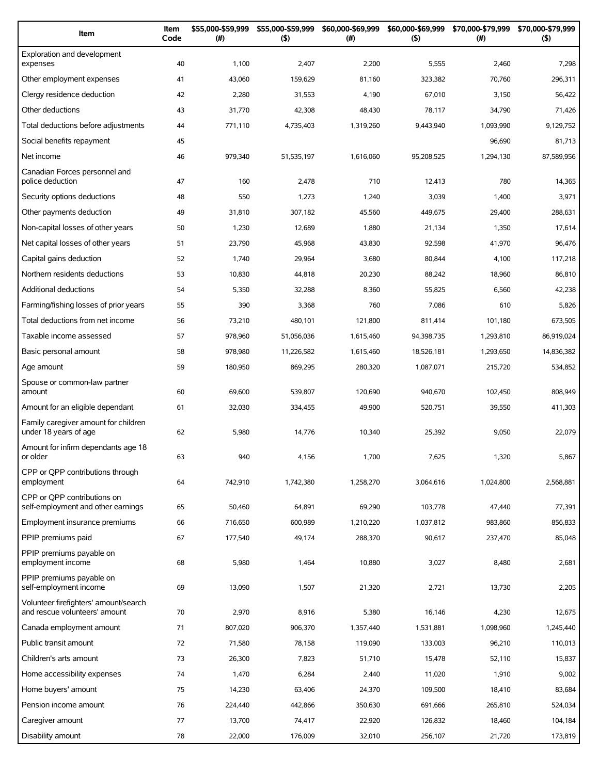| Item                                                                   | Item<br>Code | \$55,000-\$59,999<br>(#) | \$55,000-\$59,999<br>(5) | \$60,000-\$69,999<br>(#) | \$60,000-\$69,999<br>(5) | \$70,000-\$79,999<br>$(\#)$ | \$70,000-\$79,999<br>(5) |
|------------------------------------------------------------------------|--------------|--------------------------|--------------------------|--------------------------|--------------------------|-----------------------------|--------------------------|
| Exploration and development<br>expenses                                | 40           | 1,100                    | 2,407                    | 2,200                    | 5,555                    | 2,460                       | 7,298                    |
| Other employment expenses                                              | 41           | 43,060                   | 159,629                  | 81,160                   | 323,382                  | 70,760                      | 296,311                  |
| Clergy residence deduction                                             | 42           | 2,280                    | 31,553                   | 4,190                    | 67,010                   | 3,150                       | 56,422                   |
| Other deductions                                                       | 43           | 31,770                   | 42,308                   | 48,430                   | 78,117                   | 34,790                      | 71,426                   |
| Total deductions before adjustments                                    | 44           | 771,110                  | 4,735,403                | 1,319,260                | 9,443,940                | 1,093,990                   | 9.129.752                |
| Social benefits repayment                                              | 45           |                          |                          |                          |                          | 96,690                      | 81,713                   |
| Net income                                                             | 46           | 979,340                  | 51,535,197               | 1,616,060                | 95,208,525               | 1,294,130                   | 87,589,956               |
| Canadian Forces personnel and<br>police deduction                      | 47           | 160                      | 2,478                    | 710                      | 12,413                   | 780                         | 14,365                   |
| Security options deductions                                            | 48           | 550                      | 1,273                    | 1,240                    | 3,039                    | 1,400                       | 3,971                    |
| Other payments deduction                                               | 49           | 31,810                   | 307,182                  | 45,560                   | 449,675                  | 29,400                      | 288,631                  |
| Non-capital losses of other years                                      | 50           | 1,230                    | 12,689                   | 1,880                    | 21,134                   | 1,350                       | 17,614                   |
| Net capital losses of other years                                      | 51           | 23,790                   | 45,968                   | 43,830                   | 92,598                   | 41,970                      | 96,476                   |
| Capital gains deduction                                                | 52           | 1,740                    | 29,964                   | 3,680                    | 80,844                   | 4,100                       | 117,218                  |
| Northern residents deductions                                          | 53           | 10,830                   | 44,818                   | 20,230                   | 88,242                   | 18,960                      | 86,810                   |
| <b>Additional deductions</b>                                           | 54           | 5,350                    | 32,288                   | 8,360                    | 55,825                   | 6,560                       | 42,238                   |
| Farming/fishing losses of prior years                                  | 55           | 390                      | 3,368                    | 760                      | 7,086                    | 610                         | 5,826                    |
| Total deductions from net income                                       | 56           | 73,210                   | 480,101                  | 121,800                  | 811,414                  | 101,180                     | 673,505                  |
| Taxable income assessed                                                | 57           | 978,960                  | 51,056,036               | 1,615,460                | 94,398,735               | 1,293,810                   | 86,919,024               |
| Basic personal amount                                                  | 58           | 978,980                  | 11,226,582               | 1,615,460                | 18,526,181               | 1,293,650                   | 14,836,382               |
| Age amount                                                             | 59           | 180,950                  | 869,295                  | 280,320                  | 1,087,071                | 215,720                     | 534,852                  |
| Spouse or common-law partner<br>amount                                 | 60           | 69,600                   | 539,807                  | 120,690                  | 940,670                  | 102,450                     | 808,949                  |
| Amount for an eligible dependant                                       | 61           | 32,030                   | 334,455                  | 49,900                   | 520,751                  | 39,550                      | 411,303                  |
| Family caregiver amount for children<br>under 18 years of age          | 62           | 5,980                    | 14,776                   | 10,340                   | 25,392                   | 9,050                       | 22,079                   |
| Amount for infirm dependants age 18<br>or older                        | 63           | 940                      | 4,156                    | 1,700                    | 7,625                    | 1,320                       | 5,867                    |
| CPP or OPP contributions through<br>employment                         | 64           | 742,910                  | 1,742,380                | 1,258,270                | 3,064,616                | 1,024,800                   | 2,568,881                |
| CPP or OPP contributions on<br>self-employment and other earnings      | 65           | 50,460                   | 64,891                   | 69,290                   | 103,778                  | 47,440                      | 77,391                   |
| Employment insurance premiums                                          | 66           | 716,650                  | 600,989                  | 1,210,220                | 1,037,812                | 983,860                     | 856,833                  |
| PPIP premiums paid                                                     | 67           | 177,540                  | 49,174                   | 288,370                  | 90,617                   | 237,470                     | 85,048                   |
| PPIP premiums payable on<br>employment income                          | 68           | 5,980                    | 1,464                    | 10,880                   | 3,027                    | 8,480                       | 2,681                    |
| PPIP premiums payable on<br>self-employment income                     | 69           | 13,090                   | 1,507                    | 21,320                   | 2,721                    | 13,730                      | 2,205                    |
| Volunteer firefighters' amount/search<br>and rescue volunteers' amount | 70           | 2,970                    | 8,916                    | 5,380                    | 16,146                   | 4,230                       | 12,675                   |
| Canada employment amount                                               | 71           | 807,020                  | 906,370                  | 1,357,440                | 1,531,881                | 1,098,960                   | 1,245,440                |
| Public transit amount                                                  | 72           | 71,580                   | 78,158                   | 119,090                  | 133,003                  | 96,210                      | 110,013                  |
| Children's arts amount                                                 | 73           | 26,300                   | 7,823                    | 51,710                   | 15,478                   | 52,110                      | 15,837                   |
| Home accessibility expenses                                            | 74           | 1,470                    | 6,284                    | 2,440                    | 11,020                   | 1,910                       | 9,002                    |
| Home buyers' amount                                                    | 75           | 14,230                   | 63,406                   | 24,370                   | 109,500                  | 18,410                      | 83,684                   |
| Pension income amount                                                  | 76           | 224,440                  | 442,866                  | 350,630                  | 691,666                  | 265,810                     | 524,034                  |
| Caregiver amount                                                       | 77           | 13,700                   | 74,417                   | 22,920                   | 126,832                  | 18,460                      | 104,184                  |
| Disability amount                                                      | 78           | 22,000                   | 176,009                  | 32,010                   | 256,107                  | 21,720                      | 173,819                  |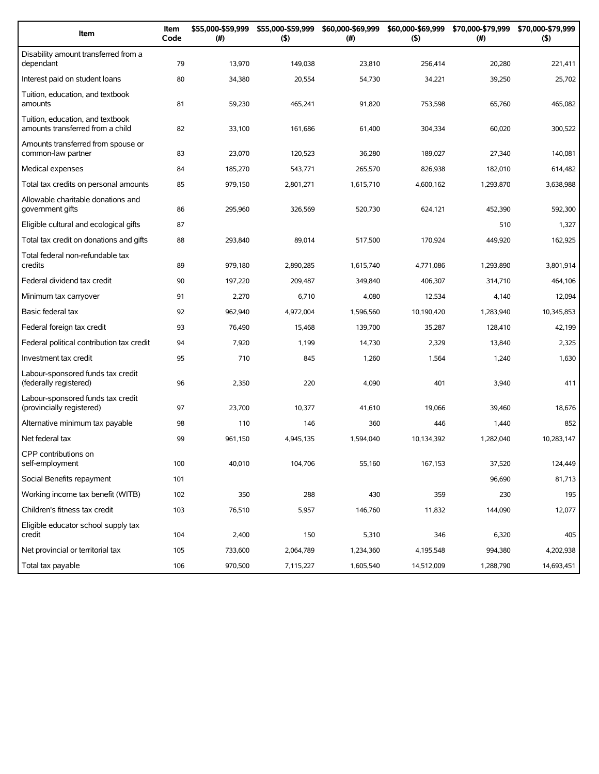| Item                                                                 | Item<br>Code | \$55,000-\$59,999<br>(#) | \$55,000-\$59,999<br>(5) | \$60,000-\$69,999<br>$(\#)$ | \$60,000-\$69,999<br>(5) | \$70,000-\$79,999<br>$(\#)$ | \$70,000-\$79,999<br>(5) |
|----------------------------------------------------------------------|--------------|--------------------------|--------------------------|-----------------------------|--------------------------|-----------------------------|--------------------------|
| Disability amount transferred from a<br>dependant                    | 79           | 13,970                   | 149,038                  | 23,810                      | 256,414                  | 20,280                      | 221,411                  |
| Interest paid on student loans                                       | 80           | 34,380                   | 20,554                   | 54,730                      | 34,221                   | 39,250                      | 25,702                   |
| Tuition, education, and textbook<br>amounts                          | 81           | 59,230                   | 465,241                  | 91,820                      | 753,598                  | 65,760                      | 465,082                  |
| Tuition, education, and textbook<br>amounts transferred from a child | 82           | 33,100                   | 161,686                  | 61,400                      | 304,334                  | 60,020                      | 300,522                  |
| Amounts transferred from spouse or<br>common-law partner             | 83           | 23,070                   | 120,523                  | 36,280                      | 189,027                  | 27,340                      | 140,081                  |
| Medical expenses                                                     | 84           | 185,270                  | 543,771                  | 265,570                     | 826,938                  | 182,010                     | 614,482                  |
| Total tax credits on personal amounts                                | 85           | 979,150                  | 2,801,271                | 1,615,710                   | 4,600,162                | 1,293,870                   | 3,638,988                |
| Allowable charitable donations and<br>government gifts               | 86           | 295,960                  | 326,569                  | 520,730                     | 624,121                  | 452,390                     | 592,300                  |
| Eligible cultural and ecological gifts                               | 87           |                          |                          |                             |                          | 510                         | 1,327                    |
| Total tax credit on donations and gifts                              | 88           | 293,840                  | 89,014                   | 517,500                     | 170,924                  | 449,920                     | 162,925                  |
| Total federal non-refundable tax<br>credits                          | 89           | 979,180                  | 2,890,285                | 1.615.740                   | 4,771,086                | 1.293.890                   | 3,801,914                |
| Federal dividend tax credit                                          | 90           | 197,220                  | 209,487                  | 349,840                     | 406,307                  | 314,710                     | 464,106                  |
| Minimum tax carryover                                                | 91           | 2,270                    | 6,710                    | 4,080                       | 12,534                   | 4,140                       | 12,094                   |
| Basic federal tax                                                    | 92           | 962,940                  | 4,972,004                | 1,596,560                   | 10,190,420               | 1,283,940                   | 10,345,853               |
| Federal foreign tax credit                                           | 93           | 76,490                   | 15,468                   | 139,700                     | 35,287                   | 128,410                     | 42,199                   |
| Federal political contribution tax credit                            | 94           | 7,920                    | 1,199                    | 14,730                      | 2,329                    | 13,840                      | 2,325                    |
| Investment tax credit                                                | 95           | 710                      | 845                      | 1,260                       | 1,564                    | 1,240                       | 1,630                    |
| Labour-sponsored funds tax credit<br>(federally registered)          | 96           | 2,350                    | 220                      | 4,090                       | 401                      | 3,940                       | 411                      |
| Labour-sponsored funds tax credit<br>(provincially registered)       | 97           | 23,700                   | 10,377                   | 41,610                      | 19,066                   | 39,460                      | 18,676                   |
| Alternative minimum tax payable                                      | 98           | 110                      | 146                      | 360                         | 446                      | 1,440                       | 852                      |
| Net federal tax                                                      | 99           | 961.150                  | 4,945,135                | 1,594,040                   | 10,134,392               | 1,282,040                   | 10.283.147               |
| CPP contributions on<br>self-employment                              | 100          | 40,010                   | 104,706                  | 55,160                      | 167,153                  | 37,520                      | 124,449                  |
| Social Benefits repayment                                            | 101          |                          |                          |                             |                          | 96,690                      | 81,713                   |
| Working income tax benefit (WITB)                                    | 102          | 350                      | 288                      | 430                         | 359                      | 230                         | 195                      |
| Children's fitness tax credit                                        | 103          | 76,510                   | 5,957                    | 146,760                     | 11,832                   | 144,090                     | 12,077                   |
| Eligible educator school supply tax<br>credit                        | 104          | 2,400                    | 150                      | 5,310                       | 346                      | 6,320                       | 405                      |
| Net provincial or territorial tax                                    | 105          | 733,600                  | 2,064,789                | 1,234,360                   | 4,195,548                | 994,380                     | 4,202,938                |
| Total tax payable                                                    | 106          | 970,500                  | 7,115,227                | 1,605,540                   | 14,512,009               | 1,288,790                   | 14,693,451               |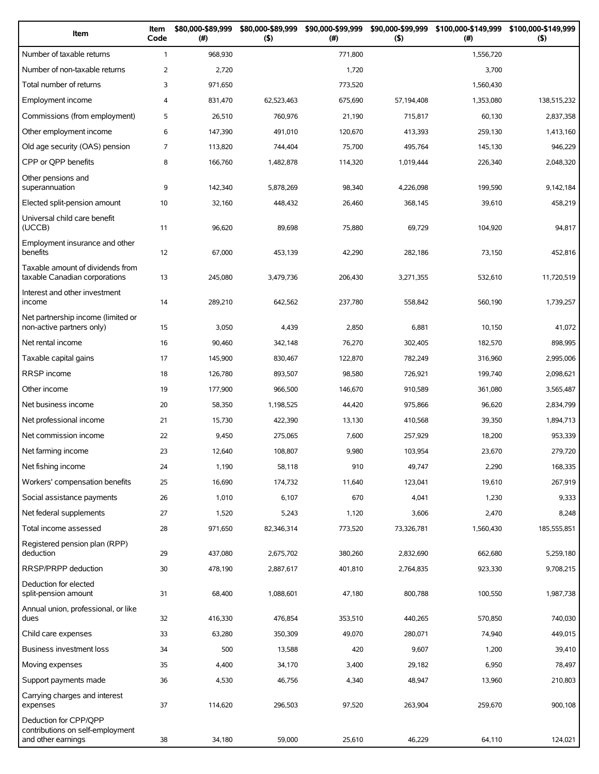| Item                                                                            | Item<br>Code | \$80,000-\$89,999<br>$(\#)$ | \$80,000-\$89,999<br>(5) | \$90,000-\$99,999<br>(# ) | \$90,000-\$99,999<br>$($ \$) | \$100,000-\$149,999<br>(# ) | \$100,000-\$149,999<br>$($ \$) |
|---------------------------------------------------------------------------------|--------------|-----------------------------|--------------------------|---------------------------|------------------------------|-----------------------------|--------------------------------|
| Number of taxable returns                                                       | $\mathbf{1}$ | 968,930                     |                          | 771,800                   |                              | 1,556,720                   |                                |
| Number of non-taxable returns                                                   | 2            | 2,720                       |                          | 1,720                     |                              | 3,700                       |                                |
| Total number of returns                                                         | 3            | 971,650                     |                          | 773,520                   |                              | 1,560,430                   |                                |
| Employment income                                                               | 4            | 831,470                     | 62,523,463               | 675,690                   | 57,194,408                   | 1,353,080                   | 138,515,232                    |
| Commissions (from employment)                                                   | 5            | 26,510                      | 760,976                  | 21,190                    | 715,817                      | 60,130                      | 2,837,358                      |
| Other employment income                                                         | 6            | 147,390                     | 491,010                  | 120.670                   | 413,393                      | 259,130                     | 1,413,160                      |
| Old age security (OAS) pension                                                  | 7            | 113.820                     | 744,404                  | 75,700                    | 495,764                      | 145,130                     | 946,229                        |
| CPP or QPP benefits                                                             | 8            | 166,760                     | 1,482,878                | 114,320                   | 1,019,444                    | 226,340                     | 2,048,320                      |
| Other pensions and<br>superannuation                                            | 9            | 142,340                     | 5,878,269                | 98,340                    | 4,226,098                    | 199,590                     | 9,142,184                      |
| Elected split-pension amount                                                    | 10           | 32,160                      | 448,432                  | 26,460                    | 368,145                      | 39,610                      | 458,219                        |
| Universal child care benefit<br>(UCCB)                                          | 11           | 96,620                      | 89,698                   | 75,880                    | 69,729                       | 104,920                     | 94,817                         |
| Employment insurance and other<br>benefits                                      | 12           | 67,000                      | 453,139                  | 42,290                    | 282,186                      | 73,150                      | 452,816                        |
| Taxable amount of dividends from<br>taxable Canadian corporations               | 13           | 245,080                     | 3,479,736                | 206,430                   | 3,271,355                    | 532,610                     | 11,720,519                     |
| Interest and other investment<br>income                                         | 14           | 289,210                     | 642,562                  | 237,780                   | 558,842                      | 560,190                     | 1,739,257                      |
| Net partnership income (limited or<br>non-active partners only)                 | 15           | 3,050                       | 4,439                    | 2,850                     | 6,881                        | 10,150                      | 41,072                         |
| Net rental income                                                               | 16           | 90,460                      | 342,148                  | 76,270                    | 302,405                      | 182,570                     | 898,995                        |
| Taxable capital gains                                                           | 17           | 145,900                     | 830,467                  | 122,870                   | 782,249                      | 316,960                     | 2,995,006                      |
| RRSP income                                                                     | 18           | 126,780                     | 893,507                  | 98,580                    | 726,921                      | 199,740                     | 2,098,621                      |
| Other income                                                                    | 19           | 177,900                     | 966,500                  | 146,670                   | 910,589                      | 361,080                     | 3,565,487                      |
| Net business income                                                             | 20           | 58,350                      | 1,198,525                | 44,420                    | 975,866                      | 96,620                      | 2,834,799                      |
| Net professional income                                                         | 21           | 15,730                      | 422,390                  | 13,130                    | 410,568                      | 39,350                      | 1,894,713                      |
| Net commission income                                                           | 22           | 9,450                       | 275,065                  | 7,600                     | 257,929                      | 18,200                      | 953,339                        |
| Net farming income                                                              | 23           | 12,640                      | 108,807                  | 9,980                     | 103,954                      | 23,670                      | 279,720                        |
| Net fishing income                                                              | 24           | 1,190                       | 58,118                   | 910                       | 49,747                       | 2,290                       | 168,335                        |
| Workers' compensation benefits                                                  | 25           | 16,690                      | 174,732                  | 11,640                    | 123,041                      | 19,610                      | 267,919                        |
| Social assistance payments                                                      | 26           | 1,010                       | 6,107                    | 670                       | 4,041                        | 1,230                       | 9,333                          |
| Net federal supplements                                                         | 27           | 1,520                       | 5,243                    | 1,120                     | 3,606                        | 2,470                       | 8,248                          |
| Total income assessed                                                           | 28           | 971,650                     | 82,346,314               | 773,520                   | 73,326,781                   | 1,560,430                   | 185,555,851                    |
| Registered pension plan (RPP)<br>deduction                                      | 29           | 437,080                     | 2,675,702                | 380,260                   | 2,832,690                    | 662,680                     | 5,259,180                      |
| RRSP/PRPP deduction                                                             | 30           | 478,190                     | 2,887,617                | 401,810                   | 2,764,835                    | 923,330                     | 9,708,215                      |
| Deduction for elected<br>split-pension amount                                   | 31           | 68,400                      | 1,088,601                | 47,180                    | 800,788                      | 100,550                     | 1,987,738                      |
| Annual union, professional, or like<br>dues                                     | 32           | 416,330                     | 476,854                  | 353,510                   | 440,265                      | 570,850                     | 740,030                        |
| Child care expenses                                                             | 33           | 63,280                      | 350,309                  | 49,070                    | 280,071                      | 74,940                      | 449,015                        |
| Business investment loss                                                        | 34           | 500                         | 13,588                   | 420                       | 9,607                        | 1,200                       | 39,410                         |
| Moving expenses                                                                 | 35           | 4,400                       | 34,170                   | 3,400                     | 29,182                       | 6,950                       | 78,497                         |
| Support payments made                                                           | 36           | 4,530                       | 46,756                   | 4,340                     | 48,947                       | 13,960                      | 210,803                        |
| Carrying charges and interest<br>expenses                                       | 37           | 114,620                     | 296,503                  | 97,520                    | 263,904                      | 259,670                     | 900,108                        |
| Deduction for CPP/QPP<br>contributions on self-employment<br>and other earnings | 38           | 34,180                      | 59,000                   | 25,610                    | 46,229                       | 64,110                      | 124,021                        |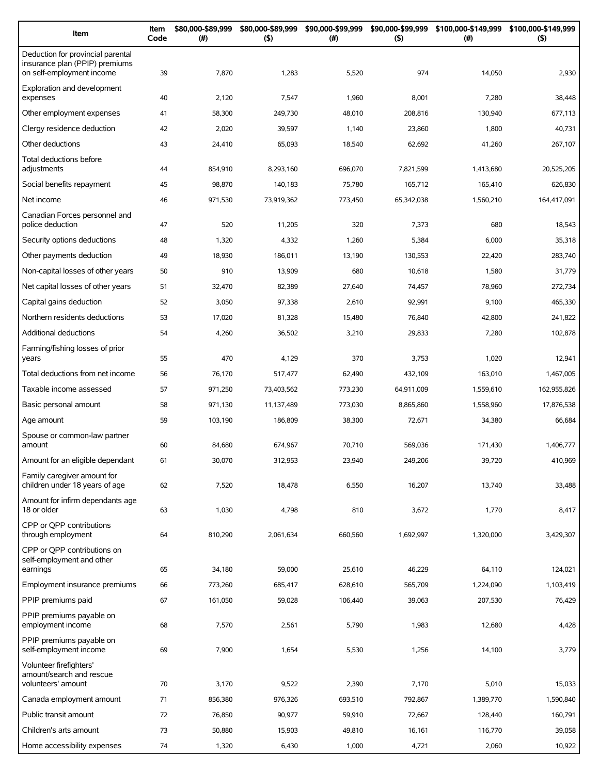| Item                                                                                             | Item<br>Code | \$80,000-\$89,999<br>(# ) | \$80,000-\$89,999<br>(5) | \$90,000-\$99,999<br>(# ) | \$90,000-\$99,999<br>(5) | \$100,000-\$149,999 \$100,000-\$149,999<br>(#) | $($ \$)     |
|--------------------------------------------------------------------------------------------------|--------------|---------------------------|--------------------------|---------------------------|--------------------------|------------------------------------------------|-------------|
| Deduction for provincial parental<br>insurance plan (PPIP) premiums<br>on self-employment income | 39           | 7,870                     | 1,283                    | 5,520                     | 974                      | 14,050                                         | 2,930       |
| Exploration and development<br>expenses                                                          | 40           | 2,120                     | 7,547                    | 1,960                     | 8,001                    | 7,280                                          | 38,448      |
| Other employment expenses                                                                        | 41           | 58,300                    | 249,730                  | 48,010                    | 208,816                  | 130,940                                        | 677,113     |
| Clergy residence deduction                                                                       | 42           | 2,020                     | 39,597                   | 1,140                     | 23,860                   | 1,800                                          | 40,731      |
| Other deductions                                                                                 | 43           | 24,410                    | 65,093                   | 18,540                    | 62,692                   | 41,260                                         | 267,107     |
| Total deductions before<br>adjustments                                                           | 44           | 854,910                   | 8,293,160                | 696,070                   | 7,821,599                | 1,413,680                                      | 20,525,205  |
| Social benefits repayment                                                                        | 45           | 98,870                    | 140,183                  | 75,780                    | 165,712                  | 165,410                                        | 626,830     |
| Net income                                                                                       | 46           | 971,530                   | 73,919,362               | 773,450                   | 65,342,038               | 1,560,210                                      | 164,417,091 |
| Canadian Forces personnel and<br>police deduction                                                | 47           | 520                       | 11,205                   | 320                       | 7,373                    | 680                                            | 18,543      |
| Security options deductions                                                                      | 48           | 1,320                     | 4,332                    | 1,260                     | 5,384                    | 6,000                                          | 35,318      |
| Other payments deduction                                                                         | 49           | 18,930                    | 186,011                  | 13,190                    | 130,553                  | 22,420                                         | 283,740     |
| Non-capital losses of other years                                                                | 50           | 910                       | 13,909                   | 680                       | 10,618                   | 1,580                                          | 31,779      |
| Net capital losses of other years                                                                | 51           | 32,470                    | 82,389                   | 27,640                    | 74,457                   | 78,960                                         | 272,734     |
| Capital gains deduction                                                                          | 52           | 3,050                     | 97,338                   | 2,610                     | 92,991                   | 9,100                                          | 465,330     |
| Northern residents deductions                                                                    | 53           | 17,020                    | 81,328                   | 15,480                    | 76,840                   | 42,800                                         | 241,822     |
| Additional deductions                                                                            | 54           | 4,260                     | 36,502                   | 3,210                     | 29,833                   | 7,280                                          | 102,878     |
| Farming/fishing losses of prior<br>years                                                         | 55           | 470                       | 4,129                    | 370                       | 3,753                    | 1,020                                          | 12,941      |
| Total deductions from net income                                                                 | 56           | 76,170                    | 517,477                  | 62,490                    | 432,109                  | 163,010                                        | 1,467,005   |
| Taxable income assessed                                                                          | 57           | 971,250                   | 73,403,562               | 773,230                   | 64,911,009               | 1,559,610                                      | 162,955,826 |
| Basic personal amount                                                                            | 58           | 971,130                   | 11,137,489               | 773,030                   | 8,865,860                | 1,558,960                                      | 17,876,538  |
| Age amount                                                                                       | 59           | 103,190                   | 186,809                  | 38,300                    | 72,671                   | 34,380                                         | 66,684      |
| Spouse or common-law partner<br>amount                                                           | 60           | 84,680                    | 674,967                  | 70,710                    | 569,036                  | 171,430                                        | 1,406,777   |
| Amount for an eligible dependant                                                                 | 61           | 30,070                    | 312,953                  | 23,940                    | 249,206                  | 39,720                                         | 410,969     |
| Family caregiver amount for<br>children under 18 years of age                                    | 62           | 7,520                     | 18,478                   | 6,550                     | 16,207                   | 13,740                                         | 33,488      |
| Amount for infirm dependants age<br>18 or older                                                  | 63           | 1,030                     | 4,798                    | 810                       | 3,672                    | 1,770                                          | 8,417       |
| CPP or OPP contributions<br>through employment                                                   | 64           | 810,290                   | 2,061,634                | 660,560                   | 1,692,997                | 1,320,000                                      | 3,429,307   |
| CPP or OPP contributions on<br>self-employment and other                                         |              |                           |                          |                           |                          |                                                |             |
| earnings                                                                                         | 65           | 34,180                    | 59,000                   | 25,610                    | 46,229                   | 64,110                                         | 124,021     |
| Employment insurance premiums<br>PPIP premiums paid                                              | 66           | 773,260                   | 685,417                  | 628,610                   | 565,709                  | 1,224,090                                      | 1,103,419   |
|                                                                                                  | 67           | 161,050                   | 59,028                   | 106,440                   | 39,063                   | 207,530                                        | 76,429      |
| PPIP premiums payable on<br>employment income                                                    | 68           | 7,570                     | 2,561                    | 5,790                     | 1,983                    | 12,680                                         | 4,428       |
| PPIP premiums payable on<br>self-employment income                                               | 69           | 7,900                     | 1,654                    | 5,530                     | 1,256                    | 14,100                                         | 3,779       |
| Volunteer firefighters'<br>amount/search and rescue<br>volunteers' amount                        | 70           | 3,170                     | 9,522                    | 2,390                     | 7,170                    | 5,010                                          | 15,033      |
| Canada employment amount                                                                         | 71           | 856,380                   | 976,326                  | 693,510                   | 792,867                  | 1,389,770                                      | 1,590,840   |
| Public transit amount                                                                            | 72           | 76,850                    | 90,977                   | 59,910                    | 72,667                   | 128,440                                        | 160,791     |
| Children's arts amount                                                                           | 73           | 50,880                    | 15,903                   | 49,810                    | 16,161                   | 116,770                                        | 39,058      |
| Home accessibility expenses                                                                      | 74           | 1,320                     | 6,430                    | 1,000                     | 4,721                    | 2,060                                          | 10,922      |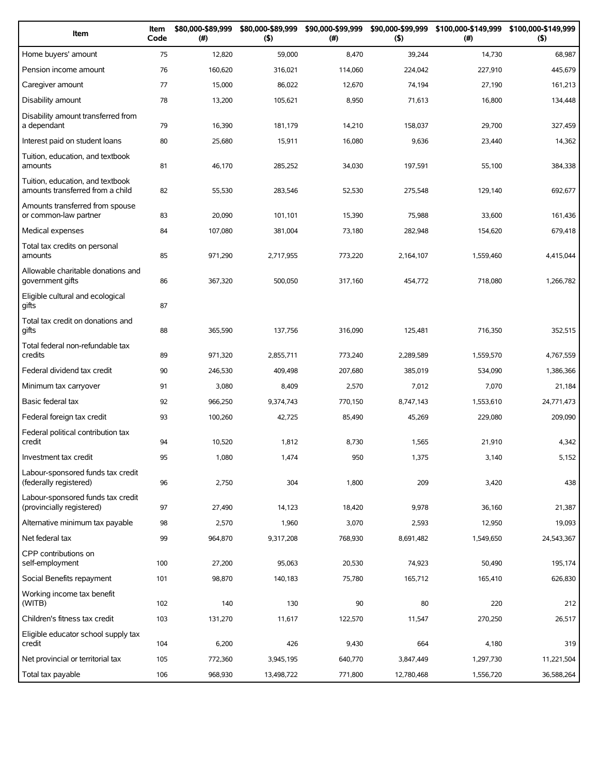| Item                                                                 | Item<br>Code | \$80,000-\$89,999<br>(#) | \$80,000-\$89,999<br>(5) | \$90,000-\$99,999<br>(# ) | \$90,000-\$99,999<br>(5) | (# )      | \$100,000-\$149,999 \$100,000-\$149,999<br>(5) |
|----------------------------------------------------------------------|--------------|--------------------------|--------------------------|---------------------------|--------------------------|-----------|------------------------------------------------|
| Home buyers' amount                                                  | 75           | 12,820                   | 59,000                   | 8,470                     | 39,244                   | 14,730    | 68,987                                         |
| Pension income amount                                                | 76           | 160,620                  | 316,021                  | 114,060                   | 224,042                  | 227,910   | 445,679                                        |
| Caregiver amount                                                     | 77           | 15,000                   | 86,022                   | 12,670                    | 74,194                   | 27,190    | 161,213                                        |
| Disability amount                                                    | 78           | 13,200                   | 105,621                  | 8,950                     | 71,613                   | 16,800    | 134,448                                        |
| Disability amount transferred from<br>a dependant                    | 79           | 16,390                   | 181,179                  | 14,210                    | 158,037                  | 29,700    | 327,459                                        |
| Interest paid on student loans                                       | 80           | 25,680                   | 15,911                   | 16,080                    | 9,636                    | 23,440    | 14,362                                         |
| Tuition, education, and textbook<br>amounts                          | 81           | 46,170                   | 285,252                  | 34,030                    | 197,591                  | 55,100    | 384,338                                        |
| Tuition, education, and textbook<br>amounts transferred from a child | 82           | 55,530                   | 283,546                  | 52,530                    | 275,548                  | 129,140   | 692,677                                        |
| Amounts transferred from spouse<br>or common-law partner             | 83           | 20,090                   | 101,101                  | 15,390                    | 75,988                   | 33,600    | 161,436                                        |
| Medical expenses                                                     | 84           | 107,080                  | 381,004                  | 73,180                    | 282,948                  | 154,620   | 679,418                                        |
| Total tax credits on personal<br>amounts                             | 85           | 971,290                  | 2,717,955                | 773,220                   | 2,164,107                | 1,559,460 | 4,415,044                                      |
| Allowable charitable donations and<br>government gifts               | 86           | 367,320                  | 500,050                  | 317,160                   | 454,772                  | 718,080   | 1,266,782                                      |
| Eligible cultural and ecological<br>gifts                            | 87           |                          |                          |                           |                          |           |                                                |
| Total tax credit on donations and<br>qifts                           | 88           | 365,590                  | 137,756                  | 316,090                   | 125,481                  | 716,350   | 352,515                                        |
| Total federal non-refundable tax<br>credits                          | 89           | 971,320                  | 2,855,711                | 773,240                   | 2,289,589                | 1,559,570 | 4,767,559                                      |
| Federal dividend tax credit                                          | 90           | 246,530                  | 409,498                  | 207,680                   | 385,019                  | 534,090   | 1,386,366                                      |
| Minimum tax carryover                                                | 91           | 3,080                    | 8,409                    | 2,570                     | 7,012                    | 7,070     | 21,184                                         |
| Basic federal tax                                                    | 92           | 966,250                  | 9,374,743                | 770,150                   | 8,747,143                | 1,553,610 | 24,771,473                                     |
| Federal foreign tax credit                                           | 93           | 100,260                  | 42,725                   | 85,490                    | 45,269                   | 229,080   | 209,090                                        |
| Federal political contribution tax<br>credit                         | 94           | 10,520                   | 1,812                    | 8,730                     | 1,565                    | 21,910    | 4,342                                          |
| Investment tax credit                                                | 95           | 1,080                    | 1.474                    | 950                       | 1,375                    | 3,140     | 5,152                                          |
| Labour-sponsored funds tax credit<br>(federally registered)          | 96           | 2,750                    | 304                      | 1,800                     | 209                      | 3,420     | 438                                            |
| Labour-sponsored funds tax credit<br>(provincially registered)       | 97           | 27,490                   | 14,123                   | 18,420                    | 9,978                    | 36,160    | 21,387                                         |
| Alternative minimum tax payable                                      | 98           | 2,570                    | 1,960                    | 3,070                     | 2,593                    | 12,950    | 19,093                                         |
| Net federal tax                                                      | 99           | 964,870                  | 9,317,208                | 768,930                   | 8,691,482                | 1,549,650 | 24,543,367                                     |
| CPP contributions on<br>self-employment                              | 100          | 27,200                   | 95,063                   | 20,530                    | 74,923                   | 50,490    | 195,174                                        |
| Social Benefits repayment                                            | 101          | 98,870                   | 140,183                  | 75,780                    | 165,712                  | 165,410   | 626,830                                        |
| Working income tax benefit<br>(WITB)                                 | 102          | 140                      | 130                      | 90                        | 80                       | 220       | 212                                            |
| Children's fitness tax credit                                        | 103          | 131,270                  | 11,617                   | 122,570                   | 11,547                   | 270,250   | 26,517                                         |
| Eligible educator school supply tax<br>credit                        | 104          | 6,200                    | 426                      | 9,430                     | 664                      | 4,180     | 319                                            |
| Net provincial or territorial tax                                    | 105          | 772,360                  | 3,945,195                | 640,770                   | 3,847,449                | 1,297,730 | 11,221,504                                     |
| Total tax payable                                                    | 106          | 968,930                  | 13,498,722               | 771,800                   | 12,780,468               | 1,556,720 | 36,588,264                                     |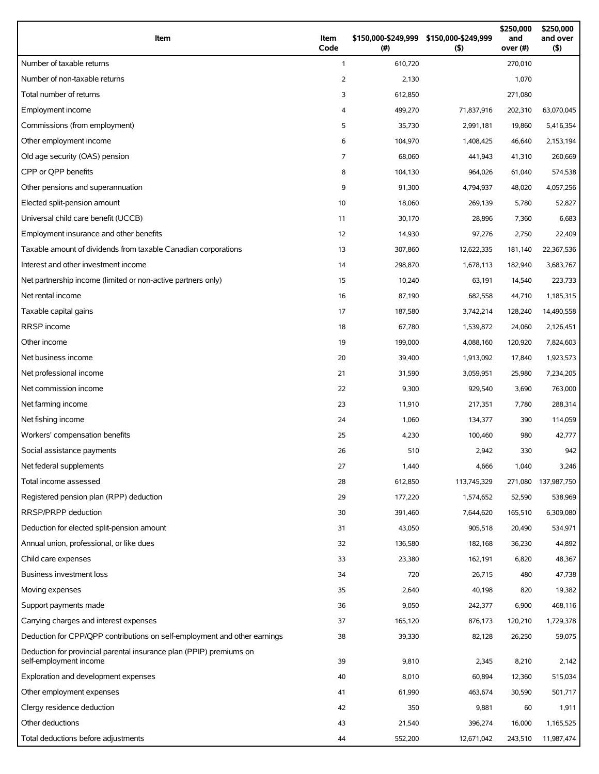| Item                                                                      | Item<br>Code   | \$150,000-\$249,999<br>(# ) | \$150,000-\$249,999<br>(5) | \$250,000<br>and<br>over (#) | \$250,000<br>and over<br>$($ \$) |
|---------------------------------------------------------------------------|----------------|-----------------------------|----------------------------|------------------------------|----------------------------------|
| Number of taxable returns                                                 | $\mathbf{1}$   | 610,720                     |                            | 270,010                      |                                  |
| Number of non-taxable returns                                             | 2              | 2,130                       |                            | 1,070                        |                                  |
| Total number of returns                                                   | 3              | 612,850                     |                            | 271,080                      |                                  |
| Employment income                                                         | 4              | 499,270                     | 71,837,916                 | 202,310                      | 63,070,045                       |
| Commissions (from employment)                                             | 5              | 35,730                      | 2,991,181                  | 19,860                       | 5,416,354                        |
| Other employment income                                                   | 6              | 104,970                     | 1,408,425                  | 46,640                       | 2,153,194                        |
| Old age security (OAS) pension                                            | $\overline{7}$ | 68,060                      | 441,943                    | 41,310                       | 260,669                          |
| CPP or QPP benefits                                                       | 8              | 104,130                     | 964,026                    | 61,040                       | 574,538                          |
| Other pensions and superannuation                                         | 9              | 91,300                      | 4,794,937                  | 48,020                       | 4,057,256                        |
| Elected split-pension amount                                              | 10             | 18,060                      | 269,139                    | 5,780                        | 52,827                           |
| Universal child care benefit (UCCB)                                       | 11             | 30,170                      | 28,896                     | 7,360                        | 6,683                            |
| Employment insurance and other benefits                                   | 12             | 14,930                      | 97,276                     | 2,750                        | 22,409                           |
| Taxable amount of dividends from taxable Canadian corporations            | 13             | 307,860                     | 12,622,335                 | 181,140                      | 22,367,536                       |
| Interest and other investment income                                      | 14             | 298,870                     | 1,678,113                  | 182,940                      | 3,683,767                        |
| Net partnership income (limited or non-active partners only)              | 15             | 10,240                      | 63,191                     | 14,540                       | 223,733                          |
| Net rental income                                                         | 16             | 87,190                      | 682,558                    | 44,710                       | 1,185,315                        |
| Taxable capital gains                                                     | 17             | 187,580                     | 3,742,214                  | 128,240                      | 14,490,558                       |
| RRSP income                                                               | 18             | 67,780                      | 1,539,872                  | 24,060                       | 2,126,451                        |
| Other income                                                              | 19             | 199,000                     | 4,088,160                  | 120,920                      | 7,824,603                        |
| Net business income                                                       | 20             | 39,400                      | 1,913,092                  | 17,840                       | 1,923,573                        |
| Net professional income                                                   | 21             | 31,590                      | 3,059,951                  | 25,980                       | 7,234,205                        |
| Net commission income                                                     | 22             | 9,300                       | 929,540                    | 3,690                        | 763,000                          |
| Net farming income                                                        | 23             | 11,910                      | 217,351                    | 7,780                        | 288,314                          |
| Net fishing income                                                        | 24             | 1,060                       | 134,377                    | 390                          | 114,059                          |
| Workers' compensation benefits                                            | 25             | 4,230                       | 100,460                    | 980                          | 42,777                           |
| Social assistance payments                                                | 26             | 510                         | 2,942                      | 330                          | 942                              |
| Net federal supplements                                                   | 27             | 1,440                       | 4,666                      | 1,040                        | 3,246                            |
| Total income assessed                                                     | 28             | 612,850                     | 113,745,329                | 271,080                      | 137,987,750                      |
| Registered pension plan (RPP) deduction                                   | 29             | 177,220                     | 1,574,652                  | 52,590                       | 538,969                          |
| RRSP/PRPP deduction                                                       | 30             | 391,460                     | 7,644,620                  | 165,510                      | 6,309,080                        |
| Deduction for elected split-pension amount                                | 31             | 43,050                      | 905,518                    | 20,490                       | 534,971                          |
| Annual union, professional, or like dues                                  | 32             | 136,580                     | 182,168                    | 36,230                       | 44,892                           |
| Child care expenses                                                       | 33             | 23,380                      | 162,191                    | 6,820                        | 48,367                           |
| Business investment loss                                                  | 34             | 720                         | 26,715                     | 480                          | 47,738                           |
| Moving expenses                                                           | 35             | 2,640                       | 40,198                     | 820                          | 19,382                           |
| Support payments made                                                     | 36             | 9,050                       | 242,377                    | 6,900                        | 468,116                          |
| Carrying charges and interest expenses                                    | 37             | 165,120                     | 876,173                    | 120,210                      | 1,729,378                        |
| Deduction for CPP/QPP contributions on self-employment and other earnings | 38             | 39,330                      | 82,128                     | 26,250                       | 59,075                           |
| Deduction for provincial parental insurance plan (PPIP) premiums on       |                |                             |                            |                              |                                  |
| self-employment income                                                    | 39             | 9,810                       | 2,345                      | 8,210                        | 2,142                            |
| Exploration and development expenses                                      | 40             | 8,010                       | 60,894                     | 12,360                       | 515,034                          |
| Other employment expenses                                                 | 41             | 61,990                      | 463,674                    | 30,590                       | 501,717                          |
| Clergy residence deduction                                                | 42             | 350                         | 9,881                      | 60                           | 1,911                            |
| Other deductions                                                          | 43             | 21,540                      | 396,274                    | 16,000                       | 1,165,525                        |
| Total deductions before adjustments                                       | 44             | 552,200                     | 12,671,042                 | 243,510                      | 11,987,474                       |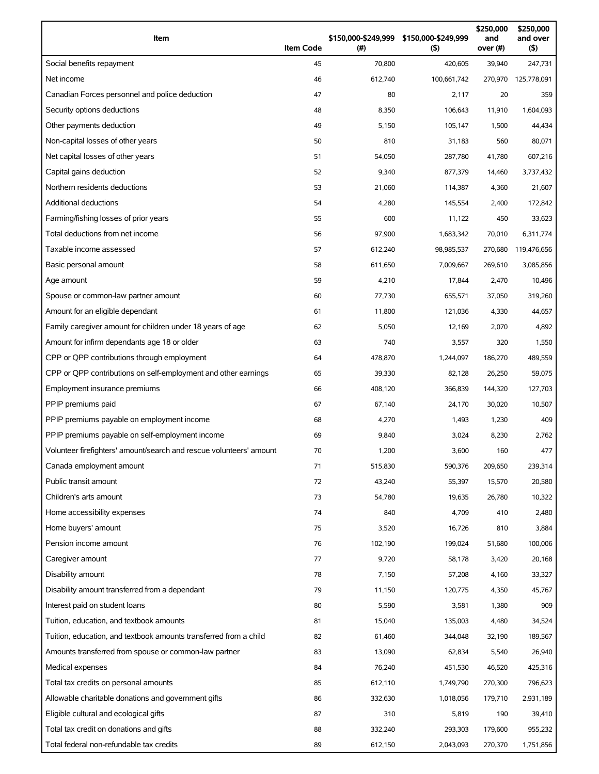| Item                                                                | <b>Item Code</b> | \$150,000-\$249,999 \$150,000-\$249,999<br>(#) | (5)         | \$250,000<br>and<br>over (#) | \$250,000<br>and over<br>(5) |
|---------------------------------------------------------------------|------------------|------------------------------------------------|-------------|------------------------------|------------------------------|
| Social benefits repayment                                           | 45               | 70,800                                         | 420,605     | 39,940                       | 247,731                      |
| Net income                                                          | 46               | 612,740                                        | 100,661,742 | 270,970                      | 125,778,091                  |
| Canadian Forces personnel and police deduction                      | 47               | 80                                             | 2,117       | 20                           | 359                          |
| Security options deductions                                         | 48               | 8,350                                          | 106,643     | 11,910                       | 1,604,093                    |
| Other payments deduction                                            | 49               | 5,150                                          | 105,147     | 1,500                        | 44,434                       |
| Non-capital losses of other years                                   | 50               | 810                                            | 31,183      | 560                          | 80,071                       |
| Net capital losses of other years                                   | 51               | 54,050                                         | 287,780     | 41,780                       | 607,216                      |
| Capital gains deduction                                             | 52               | 9,340                                          | 877,379     | 14,460                       | 3,737,432                    |
| Northern residents deductions                                       | 53               | 21,060                                         | 114,387     | 4,360                        | 21,607                       |
| Additional deductions                                               | 54               | 4,280                                          | 145,554     | 2,400                        | 172,842                      |
| Farming/fishing losses of prior years                               | 55               | 600                                            | 11,122      | 450                          | 33,623                       |
| Total deductions from net income                                    | 56               | 97,900                                         | 1,683,342   | 70,010                       | 6,311,774                    |
| Taxable income assessed                                             | 57               | 612,240                                        | 98,985,537  | 270,680                      | 119,476,656                  |
| Basic personal amount                                               | 58               | 611,650                                        | 7,009,667   | 269,610                      | 3,085,856                    |
| Age amount                                                          | 59               | 4,210                                          | 17,844      | 2,470                        | 10,496                       |
| Spouse or common-law partner amount                                 | 60               | 77,730                                         | 655,571     | 37,050                       | 319,260                      |
| Amount for an eligible dependant                                    | 61               | 11,800                                         | 121,036     | 4,330                        | 44,657                       |
| Family caregiver amount for children under 18 years of age          | 62               | 5,050                                          | 12,169      | 2,070                        | 4,892                        |
| Amount for infirm dependants age 18 or older                        | 63               | 740                                            | 3,557       | 320                          | 1,550                        |
| CPP or QPP contributions through employment                         | 64               | 478,870                                        | 1,244,097   | 186,270                      | 489,559                      |
| CPP or QPP contributions on self-employment and other earnings      | 65               | 39,330                                         | 82,128      | 26,250                       | 59,075                       |
| Employment insurance premiums                                       | 66               | 408,120                                        | 366,839     | 144,320                      | 127,703                      |
| PPIP premiums paid                                                  | 67               | 67,140                                         | 24,170      | 30,020                       | 10,507                       |
| PPIP premiums payable on employment income                          | 68               | 4,270                                          | 1,493       | 1,230                        | 409                          |
| PPIP premiums payable on self-employment income                     | 69               | 9,840                                          | 3,024       | 8,230                        | 2,762                        |
| Volunteer firefighters' amount/search and rescue volunteers' amount | 70               | 1,200                                          | 3,600       | 160                          | 477                          |
| Canada employment amount                                            | 71               | 515,830                                        | 590,376     | 209,650                      | 239,314                      |
| Public transit amount                                               | 72               | 43,240                                         | 55,397      | 15,570                       | 20,580                       |
| Children's arts amount                                              | 73               | 54,780                                         | 19,635      | 26,780                       | 10,322                       |
| Home accessibility expenses                                         | 74               | 840                                            | 4,709       | 410                          | 2,480                        |
| Home buyers' amount                                                 | 75               | 3,520                                          | 16,726      | 810                          | 3,884                        |
| Pension income amount                                               | 76               | 102,190                                        | 199,024     | 51,680                       | 100,006                      |
| Caregiver amount                                                    | 77               | 9,720                                          | 58,178      | 3,420                        | 20,168                       |
| Disability amount                                                   | 78               | 7,150                                          | 57,208      | 4,160                        | 33,327                       |
| Disability amount transferred from a dependant                      | 79               | 11,150                                         | 120,775     | 4,350                        | 45,767                       |
| Interest paid on student loans                                      | 80               | 5,590                                          | 3,581       | 1,380                        | 909                          |
| Tuition, education, and textbook amounts                            | 81               | 15,040                                         | 135,003     | 4,480                        | 34,524                       |
| Tuition, education, and textbook amounts transferred from a child   | 82               | 61,460                                         | 344,048     | 32,190                       | 189,567                      |
| Amounts transferred from spouse or common-law partner               | 83               | 13,090                                         | 62,834      | 5,540                        | 26,940                       |
| Medical expenses                                                    | 84               | 76,240                                         | 451,530     | 46,520                       | 425,316                      |
| Total tax credits on personal amounts                               | 85               | 612,110                                        | 1,749,790   | 270,300                      | 796,623                      |
| Allowable charitable donations and government gifts                 | 86               | 332,630                                        | 1,018,056   | 179,710                      | 2,931,189                    |
| Eligible cultural and ecological gifts                              | 87               | 310                                            | 5,819       | 190                          | 39,410                       |
| Total tax credit on donations and gifts                             | 88               | 332,240                                        | 293,303     | 179,600                      | 955,232                      |
| Total federal non-refundable tax credits                            | 89               | 612,150                                        | 2,043,093   | 270,370                      | 1,751,856                    |